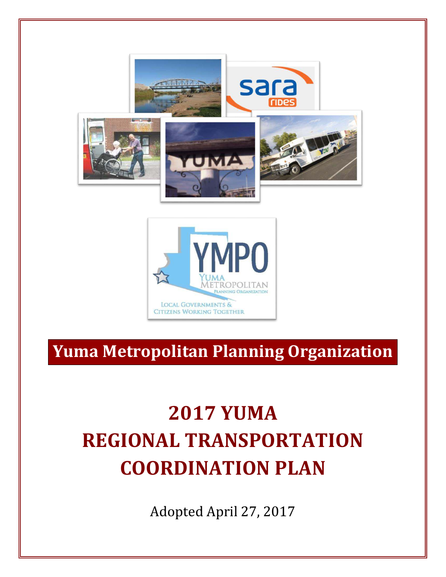



# **Yuma Metropolitan Planning Organization**

# **2017 YUMA REGIONAL TRANSPORTATION COORDINATION PLAN**

Adopted April 27, 2017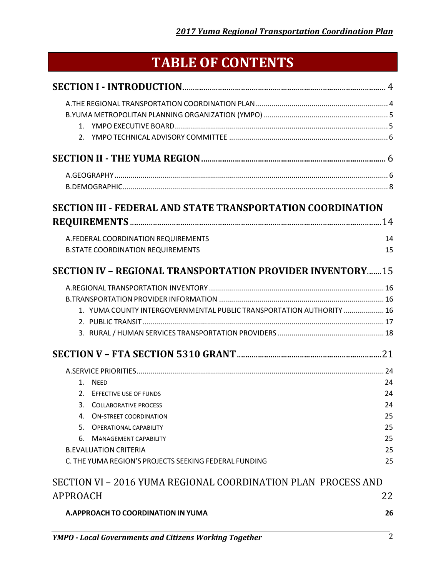# **TABLE OF CONTENTS**

| SECTION III - FEDERAL AND STATE TRANSPORTATION COORDINATION          |    |
|----------------------------------------------------------------------|----|
|                                                                      |    |
| A.FEDERAL COORDINATION REQUIREMENTS                                  | 14 |
| <b>B.STATE COORDINATION REQUIREMENTS</b>                             | 15 |
| <b>SECTION IV - REGIONAL TRANSPORTATION PROVIDER INVENTORY15</b>     |    |
|                                                                      |    |
|                                                                      |    |
| 1. YUMA COUNTY INTERGOVERNMENTAL PUBLIC TRANSPORTATION AUTHORITY  16 |    |
|                                                                      |    |
|                                                                      |    |
|                                                                      |    |
|                                                                      |    |
| 1. NEED                                                              | 24 |
| 2. EFFECTIVE USE OF FUNDS                                            | 24 |
| 3. COLLABORATIVE PROCESS                                             | 24 |
| <b>ON-STREET COORDINATION</b><br>4.                                  | 25 |
| 5. OPERATIONAL CAPABILITY                                            | 25 |
| 6.<br><b>MANAGEMENT CAPABILITY</b>                                   | 25 |
| <b>B.EVALUATION CRITERIA</b>                                         | 25 |
| C. THE YUMA REGION'S PROJECTS SEEKING FEDERAL FUNDING                | 25 |
| SECTION VI - 2016 YUMA REGIONAL COORDINATION PLAN PROCESS AND        |    |
| APPROACH                                                             | 22 |
| A.APPROACH TO COORDINATION IN YUMA                                   | 26 |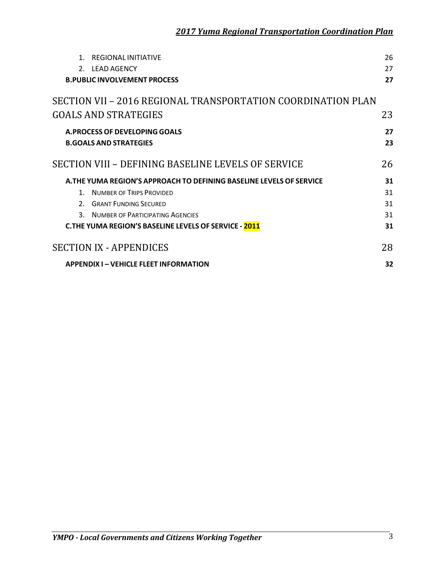| REGIONAL INITIATIVE<br>$1 \quad$<br>2. LEAD AGENCY<br><b>B.PUBLIC INVOLVEMENT PROCESS</b> | 26<br>27<br>27 |
|-------------------------------------------------------------------------------------------|----------------|
| SECTION VII – 2016 REGIONAL TRANSPORTATION COORDINATION PLAN                              |                |
| <b>GOALS AND STRATEGIES</b>                                                               | 23             |
| A.PROCESS OF DEVELOPING GOALS                                                             | 27             |
| <b>B.GOALS AND STRATEGIES</b>                                                             | 23             |
| SECTION VIII - DEFINING BASELINE LEVELS OF SERVICE                                        | 26             |
| A. THE YUMA REGION'S APPROACH TO DEFINING BASELINE LEVELS OF SERVICE                      | 31             |
| 1. NUMBER OF TRIPS PROVIDED                                                               | 31             |
| 2. GRANT FUNDING SECURED                                                                  | 31             |
| NUMBER OF PARTICIPATING AGENCIES<br>3.                                                    | 31             |
| <b>C.THE YUMA REGION'S BASELINE LEVELS OF SERVICE - 2011</b>                              | 31             |
| <b>SECTION IX - APPENDICES</b>                                                            | 28             |
| <b>APPENDIX I – VEHICLE FLEET INFORMATION</b>                                             | 32             |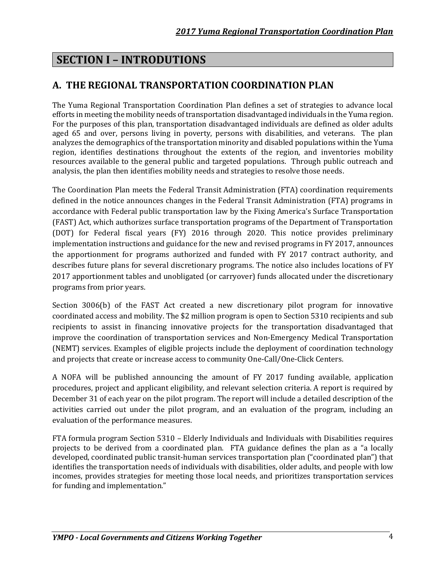# **SECTION I – INTRODUTIONS**

## **A. THE REGIONAL TRANSPORTATION COORDINATION PLAN**

The Yuma Regional Transportation Coordination Plan defines a set of strategies to advance local efforts in meeting the mobility needs of transportation disadvantaged individuals in the Yuma region. For the purposes of this plan, transportation disadvantaged individuals are defined as older adults aged 65 and over, persons living in poverty, persons with disabilities, and veterans. The plan analyzes the demographics of the transportation minority and disabled populations within the Yuma region, identifies destinations throughout the extents of the region, and inventories mobility resources available to the general public and targeted populations. Through public outreach and analysis, the plan then identifies mobility needs and strategies to resolve those needs.

The Coordination Plan meets the Federal Transit Administration (FTA) coordination requirements defined in the notice announces changes in the Federal Transit Administration (FTA) programs in accordance with Federal public transportation law by the Fixing America's Surface Transportation (FAST) Act, which authorizes surface transportation programs of the Department of Transportation (DOT) for Federal fiscal years (FY) 2016 through 2020. This notice provides preliminary implementation instructions and guidance for the new and revised programs in FY 2017, announces the apportionment for programs authorized and funded with FY 2017 contract authority, and describes future plans for several discretionary programs. The notice also includes locations of FY 2017 apportionment tables and unobligated (or carryover) funds allocated under the discretionary programs from prior years.

Section 3006(b) of the FAST Act created a new discretionary pilot program for innovative coordinated access and mobility. The \$2 million program is open to Section 5310 recipients and sub recipients to assist in financing innovative projects for the transportation disadvantaged that improve the coordination of transportation services and Non-Emergency Medical Transportation (NEMT) services. Examples of eligible projects include the deployment of coordination technology and projects that create or increase access to community One-Call/One-Click Centers.

A NOFA will be published announcing the amount of FY 2017 funding available, application procedures, project and applicant eligibility, and relevant selection criteria. A report is required by December 31 of each year on the pilot program. The report will include a detailed description of the activities carried out under the pilot program, and an evaluation of the program, including an evaluation of the performance measures.

FTA formula program Section 5310 – Elderly Individuals and Individuals with Disabilities requires projects to be derived from a coordinated plan. FTA guidance defines the plan as a "a locally developed, coordinated public transit‐human services transportation plan ("coordinated plan") that identifies the transportation needs of individuals with disabilities, older adults, and people with low incomes, provides strategies for meeting those local needs, and prioritizes transportation services for funding and implementation."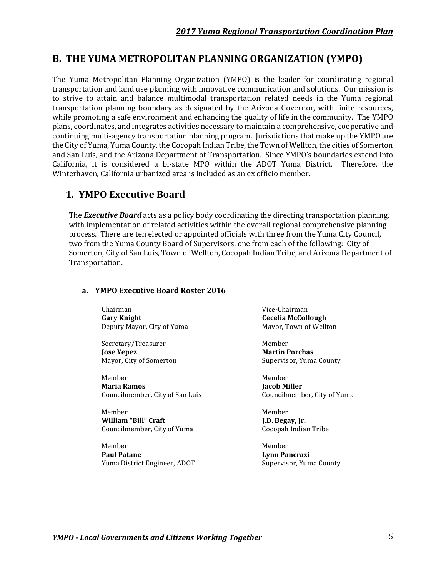### **B. THE YUMA METROPOLITAN PLANNING ORGANIZATION (YMPO)**

The Yuma Metropolitan Planning Organization (YMPO) is the leader for coordinating regional transportation and land use planning with innovative communication and solutions. Our mission is to strive to attain and balance multimodal transportation related needs in the Yuma regional transportation planning boundary as designated by the Arizona Governor, with finite resources, while promoting a safe environment and enhancing the quality of life in the community. The YMPO plans, coordinates, and integrates activities necessary to maintain a comprehensive, cooperative and continuing multi-agency transportation planning program. Jurisdictions that make up the YMPO are the City of Yuma, Yuma County, the Cocopah Indian Tribe, the Town of Wellton, the cities of Somerton and San Luis, and the Arizona Department of Transportation. Since YMPO's boundaries extend into California, it is considered a bi-state MPO within the ADOT Yuma District. Therefore, the Winterhaven, California urbanized area is included as an ex officio member.

### **1. YMPO Executive Board**

The *Executive Board* acts as a policy body coordinating the directing transportation planning, with implementation of related activities within the overall regional comprehensive planning process. There are ten elected or appointed officials with three from the Yuma City Council, two from the Yuma County Board of Supervisors, one from each of the following: City of Somerton, City of San Luis, Town of Wellton, Cocopah Indian Tribe, and Arizona Department of Transportation.

#### **a. YMPO Executive Board Roster 2016**

Chairman Vice-Chairman  **Gary Knight Cecelia McCollough**  Deputy Mayor, City of Yuma Mayor, Town of Wellton

Secretary/Treasurer Member  **Jose Yepez Martin Porchas** 

Member **Member** Member **Maria Ramos Maria Ramos Jacob Miller** Councilmember, City of San Luis Councilmember, City of Yuma

Member **Member** Member William "Bill" Craft **J.D. Begay, Jr.** Councilmember, City of Yuma Cocopah Indian Tribe

Member **Member** Member  **Paul Patane Lynn Pancrazi**  Yuma District Engineer, ADOT Supervisor, Yuma County

Mayor, City of Somerton Supervisor, Yuma County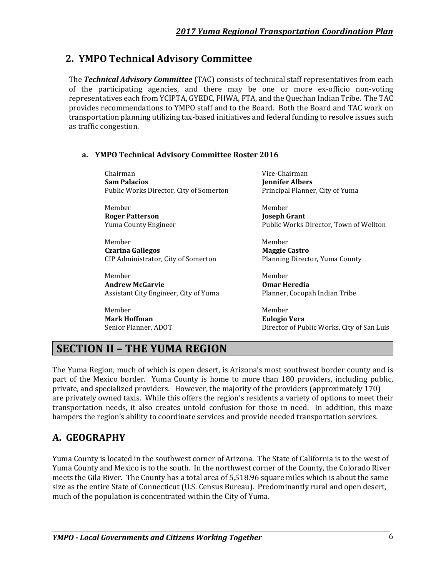# **2. YMPO Technical Advisory Committee**

The *Technical Advisory Committee* (TAC) consists of technical staff representatives from each of the participating agencies, and there may be one or more ex-officio non-voting representatives each from YCIPTA, GYEDC, FHWA, FTA, and the Quechan Indian Tribe. The TAC provides recommendations to YMPO staff and to the Board. Both the Board and TAC work on transportation planning utilizing tax-based initiatives and federal funding to resolve issues such as traffic congestion.

#### **a. YMPO Technical Advisory Committee Roster 2016**

Chairman Vice-Chairman **Sam Palacios Contract Contract Contract Palacios Jennifer Albers** Public Works Director, City of Somerton Principal Planner, City of Yuma

Member **Member** Member **Roger Patterson Grant Grant Construction Constraint Roger Patterson** 

 Member Member **Czarina Gallegos** Maggie Castro CIP Administrator, City of Somerton Planning Director, Yuma County

Member **Member** Member  **Andrew McGarvie Omar Heredia**  Assistant City Engineer, City of Yuma<br>
Planner, Cocopah Indian Tribe

Member **Member** Member  **Mark Hoffman Eulogio Vera** 

Yuma County Engineer Public Works Director, Town of Wellton

Senior Planner, ADOT **Director of Public Works, City of San Luis** 

# **SECTION II – THE YUMA REGION**

The Yuma Region, much of which is open desert, is Arizona's most southwest border county and is part of the Mexico border. Yuma County is home to more than 180 providers, including public, private, and specialized providers. However, the majority of the providers (approximately 170) are privately owned taxis. While this offers the region's residents a variety of options to meet their transportation needs, it also creates untold confusion for those in need. In addition, this maze hampers the region's ability to coordinate services and provide needed transportation services.

# **A. GEOGRAPHY**

Yuma County is located in the southwest corner of Arizona. The State of California is to the west of Yuma County and Mexico is to the south. In the northwest corner of the County, the Colorado River meets the Gila River. The County has a total area of 5,518.96 square miles which is about the same size as the entire State of Connecticut (U.S. Census Bureau). Predominantly rural and open desert, much of the population is concentrated within the City of Yuma.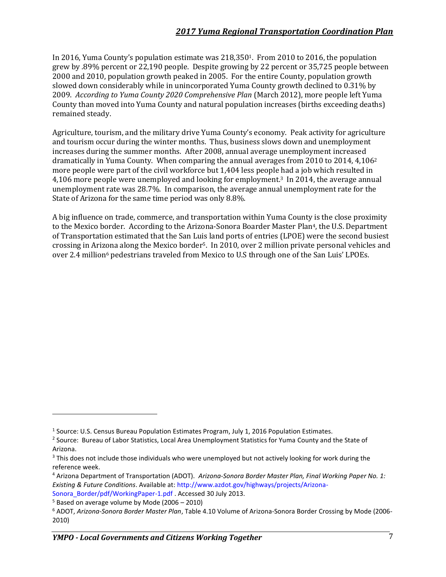In 2016, Yuma County's population estimate was 218,3501. From 2010 to 2016, the population grew by .89% percent or 22,190 people. Despite growing by 22 percent or 35,725 people between 2000 and 2010, population growth peaked in 2005. For the entire County, population growth slowed down considerably while in unincorporated Yuma County growth declined to 0.31% by 2009. *According to Yuma County 2020 Comprehensive Plan* (March 2012), more people left Yuma County than moved into Yuma County and natural population increases (births exceeding deaths) remained steady.

Agriculture, tourism, and the military drive Yuma County's economy. Peak activity for agriculture and tourism occur during the winter months. Thus, business slows down and unemployment increases during the summer months. After 2008, annual average unemployment increased dramatically in Yuma County. When comparing the annual averages from 2010 to 2014, 4,106<sup>2</sup> more people were part of the civil workforce but 1,404 less people had a job which resulted in 4,106 more people were unemployed and looking for employment.3 In 2014, the average annual unemployment rate was 28.7%. In comparison, the average annual unemployment rate for the State of Arizona for the same time period was only 8.8%.

A big influence on trade, commerce, and transportation within Yuma County is the close proximity to the Mexico border. According to the Arizona-Sonora Boarder Master Plan<sup>4</sup>, the U.S. Department of Transportation estimated that the San Luis land ports of entries (LPOE) were the second busiest crossing in Arizona along the Mexico border5. In 2010, over 2 million private personal vehicles and over 2.4 million<sup>6</sup> pedestrians traveled from Mexico to U.S through one of the San Luis' LPOEs.

 $\overline{\phantom{0}}$ 

<sup>&</sup>lt;sup>1</sup> Source: U.S. Census Bureau Population Estimates Program, July 1, 2016 Population Estimates.

<sup>&</sup>lt;sup>2</sup> Source: Bureau of Labor Statistics, Local Area Unemployment Statistics for Yuma County and the State of Arizona.

<sup>&</sup>lt;sup>3</sup> This does not include those individuals who were unemployed but not actively looking for work during the reference week.

<sup>4</sup> Arizona Department of Transportation (ADOT). *Arizona-Sonora Border Master Plan, Final Working Paper No. 1: Existing & Future Conditions*. Available at: [http://www.azdot.gov/highways/projects/Arizona-](http://www.azdot.gov/highways/projects/Arizona-Sonora_Border/pdf/WorkingPaper-1.pdf)

[Sonora\\_Border/pdf/WorkingPaper-1.pdf](http://www.azdot.gov/highways/projects/Arizona-Sonora_Border/pdf/WorkingPaper-1.pdf) . Accessed 30 July 2013.

<sup>&</sup>lt;sup>5</sup> Based on average volume by Mode (2006 – 2010)

<sup>6</sup> ADOT, *Arizona-Sonora Border Master Plan*, Table 4.10 Volume of Arizona-Sonora Border Crossing by Mode (2006- 2010)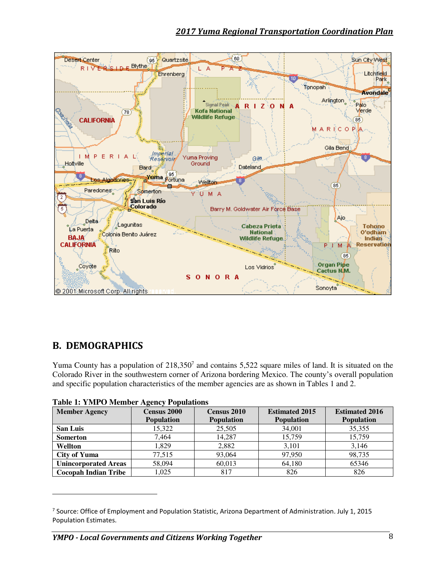

# **B. DEMOGRAPHICS**

 $\overline{\phantom{0}}$ 

Yuma County has a population of  $218,350<sup>7</sup>$  and contains 5,522 square miles of land. It is situated on the Colorado River in the southwestern corner of Arizona bordering Mexico. The county's overall population and specific population characteristics of the member agencies are as shown in Tables 1 and 2.

| <b>Member Agency</b>        | <b>Census 2000</b><br><b>Population</b> | Census 2010<br><b>Population</b> | <b>Estimated 2015</b><br><b>Population</b> | <b>Estimated 2016</b><br><b>Population</b> |
|-----------------------------|-----------------------------------------|----------------------------------|--------------------------------------------|--------------------------------------------|
| <b>San Luis</b>             | 15.322                                  | 25,505                           | 34,001                                     | 35,355                                     |
| <b>Somerton</b>             | 7.464                                   | 14.287                           | 15.759                                     | 15,759                                     |
| Wellton                     | 1.829                                   | 2.882                            | 3.101                                      | 3,146                                      |
| City of Yuma                | 77.515                                  | 93,064                           | 97.950                                     | 98.735                                     |
| <b>Unincorporated Areas</b> | 58,094                                  | 60.013                           | 64.180                                     | 65346                                      |
| <b>Cocopah Indian Tribe</b> | 1.025                                   | 817                              | 826                                        | 826                                        |

#### **Table 1: YMPO Member Agency Populations**

<sup>&</sup>lt;sup>7</sup> Source: Office of Employment and Population Statistic, Arizona Department of Administration. July 1, 2015 Population Estimates.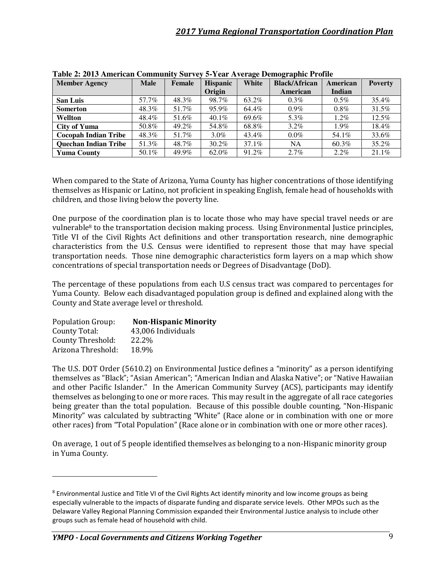| <b>Member Agency</b>        | <b>Male</b> | Female | <b>Hispanic</b> | White | $\sim$ 0.000 $\sim$ 0.000 $\sim$ 0.000 $\sim$ 0.000 $\sim$ 0.000 $\sim$ 0.000 $\sim$<br><b>Black/African</b> | American | <b>Poverty</b> |
|-----------------------------|-------------|--------|-----------------|-------|--------------------------------------------------------------------------------------------------------------|----------|----------------|
|                             |             |        | Origin          |       | American                                                                                                     | Indian   |                |
| <b>San Luis</b>             | 57.7%       | 48.3%  | 98.7%           | 63.2% | $0.3\%$                                                                                                      | $0.5\%$  | 35.4%          |
| <b>Somerton</b>             | 48.3%       | 51.7%  | 95.9%           | 64.4% | $0.9\%$                                                                                                      | $0.8\%$  | 31.5%          |
| Wellton                     | 48.4%       | 51.6%  | 40.1%           | 69.6% | 5.3%                                                                                                         | $1.2\%$  | 12.5%          |
| City of Yuma                | 50.8%       | 49.2%  | 54.8%           | 68.8% | $3.2\%$                                                                                                      | $1.9\%$  | 18.4%          |
| <b>Cocopah Indian Tribe</b> | 48.3%       | 51.7%  | $3.0\%$         | 43.4% | $0.0\%$                                                                                                      | 54.1%    | 33.6%          |
| <b>Quechan Indian Tribe</b> | 51.3%       | 48.7%  | 30.2%           | 37.1% | <b>NA</b>                                                                                                    | 60.3%    | 35.2%          |
| <b>Yuma County</b>          | 50.1%       | 49.9%  | 62.0%           | 91.2% | $2.7\%$                                                                                                      | $2.2\%$  | 21.1%          |

**Table 2: 2013 American Community Survey 5-Year Average Demographic Profile**

When compared to the State of Arizona, Yuma County has higher concentrations of those identifying themselves as Hispanic or Latino, not proficient in speaking English, female head of households with children, and those living below the poverty line.

One purpose of the coordination plan is to locate those who may have special travel needs or are vulnerable8 to the transportation decision making process. Using Environmental Justice principles, Title VI of the Civil Rights Act definitions and other transportation research, nine demographic characteristics from the U.S. Census were identified to represent those that may have special transportation needs. Those nine demographic characteristics form layers on a map which show concentrations of special transportation needs or Degrees of Disadvantage (DoD).

The percentage of these populations from each U.S census tract was compared to percentages for Yuma County. Below each disadvantaged population group is defined and explained along with the County and State average level or threshold.

| <b>Population Group:</b> | <b>Non-Hispanic Minority</b> |
|--------------------------|------------------------------|
| County Total:            | 43,006 Individuals           |
| County Threshold:        | 22.2%                        |
| Arizona Threshold:       | 18.9%                        |

 $\overline{\phantom{0}}$ 

The U.S. DOT Order (5610.2) on Environmental Justice defines a "minority" as a person identifying themselves as "Black"; "Asian American"; "American Indian and Alaska Native"; or "Native Hawaiian and other Pacific Islander." In the American Community Survey (ACS), participants may identify themselves as belonging to one or more races. This may result in the aggregate of all race categories being greater than the total population. Because of this possible double counting, "Non-Hispanic Minority" was calculated by subtracting "White" (Race alone or in combination with one or more other races) from "Total Population" (Race alone or in combination with one or more other races).

On average, 1 out of 5 people identified themselves as belonging to a non-Hispanic minority group in Yuma County.

<sup>&</sup>lt;sup>8</sup> Environmental Justice and Title VI of the Civil Rights Act identify minority and low income groups as being especially vulnerable to the impacts of disparate funding and disparate service levels. Other MPOs such as the Delaware Valley Regional Planning Commission expanded their Environmental Justice analysis to include other groups such as female head of household with child.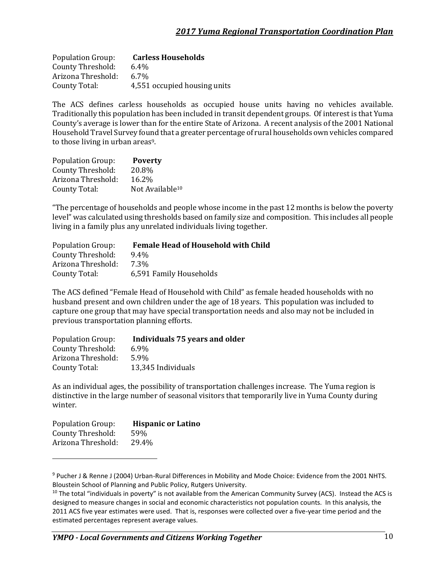| <b>Population Group:</b> | <b>Carless Households</b>    |
|--------------------------|------------------------------|
| County Threshold:        | $6.4\%$                      |
| Arizona Threshold:       | $6.7\%$                      |
| County Total:            | 4,551 occupied housing units |

The ACS defines carless households as occupied house units having no vehicles available. Traditionally this population has been included in transit dependent groups. Of interest is that Yuma County's average is lower than for the entire State of Arizona. A recent analysis of the 2001 National Household Travel Survey found that a greater percentage of rural households own vehicles compared to those living in urban areas9.

| <b>Population Group:</b> | <b>Poverty</b>              |
|--------------------------|-----------------------------|
| County Threshold:        | 20.8%                       |
| Arizona Threshold:       | 16.2%                       |
| County Total:            | Not Available <sup>10</sup> |

"The percentage of households and people whose income in the past 12 months is below the poverty level" was calculated using thresholds based on family size and composition. This includes all people living in a family plus any unrelated individuals living together.

| <b>Population Group:</b> | <b>Female Head of Household with Child</b> |
|--------------------------|--------------------------------------------|
| County Threshold:        | $9.4\%$                                    |
| Arizona Threshold:       | 7.3%                                       |
| County Total:            | 6,591 Family Households                    |

The ACS defined "Female Head of Household with Child" as female headed households with no husband present and own children under the age of 18 years. This population was included to capture one group that may have special transportation needs and also may not be included in previous transportation planning efforts.

| <b>Population Group:</b> | Individuals 75 years and older |
|--------------------------|--------------------------------|
| County Threshold:        | $6.9\%$                        |
| Arizona Threshold:       | 5.9%                           |
| County Total:            | 13,345 Individuals             |

As an individual ages, the possibility of transportation challenges increase. The Yuma region is distinctive in the large number of seasonal visitors that temporarily live in Yuma County during winter.

| <b>Population Group:</b> | <b>Hispanic or Latino</b> |
|--------------------------|---------------------------|
| County Threshold:        | 59%                       |
| Arizona Threshold:       | 29.4%                     |

 $\overline{\phantom{0}}$ 

<sup>&</sup>lt;sup>9</sup> Pucher J & Renne J (2004) Urban-Rural Differences in Mobility and Mode Choice: Evidence from the 2001 NHTS. Bloustein School of Planning and Public Policy, Rutgers University.

 $10$  The total "individuals in poverty" is not available from the American Community Survey (ACS). Instead the ACS is designed to measure changes in social and economic characteristics not population counts. In this analysis, the 2011 ACS five year estimates were used. That is, responses were collected over a five-year time period and the estimated percentages represent average values.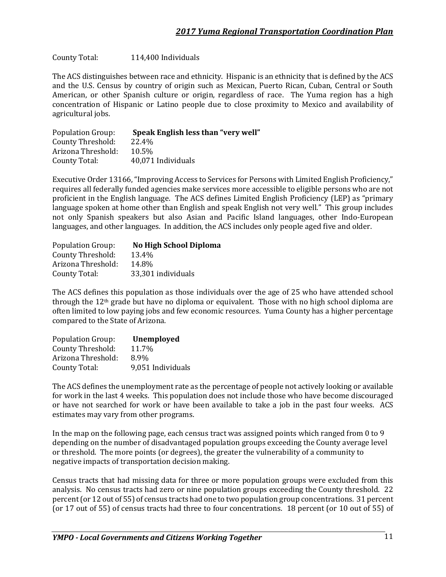County Total: 114,400 Individuals

The ACS distinguishes between race and ethnicity. Hispanic is an ethnicity that is defined by the ACS and the U.S. Census by country of origin such as Mexican, Puerto Rican, Cuban, Central or South American, or other Spanish culture or origin, regardless of race. The Yuma region has a high concentration of Hispanic or Latino people due to close proximity to Mexico and availability of agricultural jobs.

| <b>Population Group:</b> | Speak English less than "very well" |
|--------------------------|-------------------------------------|
| County Threshold:        | 22.4%                               |
| Arizona Threshold:       | 10.5%                               |
| County Total:            | 40,071 Individuals                  |

Executive Order 13166, "Improving Access to Services for Persons with Limited English Proficiency," requires all federally funded agencies make services more accessible to eligible persons who are not proficient in the English language. The ACS defines Limited English Proficiency (LEP) as "primary language spoken at home other than English and speak English not very well." This group includes not only Spanish speakers but also Asian and Pacific Island languages, other Indo-European languages, and other languages. In addition, the ACS includes only people aged five and older.

| <b>Population Group:</b> | <b>No High School Diploma</b> |
|--------------------------|-------------------------------|
| County Threshold:        | 13.4%                         |
| Arizona Threshold:       | 14.8%                         |
| County Total:            | 33,301 individuals            |

The ACS defines this population as those individuals over the age of 25 who have attended school through the 12th grade but have no diploma or equivalent. Those with no high school diploma are often limited to low paying jobs and few economic resources. Yuma County has a higher percentage compared to the State of Arizona.

| <b>Population Group:</b> | Unemployed        |
|--------------------------|-------------------|
| County Threshold:        | 11.7%             |
| Arizona Threshold:       | 8.9%              |
| County Total:            | 9.051 Individuals |

The ACS defines the unemployment rate as the percentage of people not actively looking or available for work in the last 4 weeks. This population does not include those who have become discouraged or have not searched for work or have been available to take a job in the past four weeks. ACS estimates may vary from other programs.

In the map on the following page, each census tract was assigned points which ranged from 0 to 9 depending on the number of disadvantaged population groups exceeding the County average level or threshold. The more points (or degrees), the greater the vulnerability of a community to negative impacts of transportation decision making.

Census tracts that had missing data for three or more population groups were excluded from this analysis. No census tracts had zero or nine population groups exceeding the County threshold. 22 percent (or 12 out of 55) of census tracts had one to two population group concentrations. 31 percent (or 17 out of 55) of census tracts had three to four concentrations. 18 percent (or 10 out of 55) of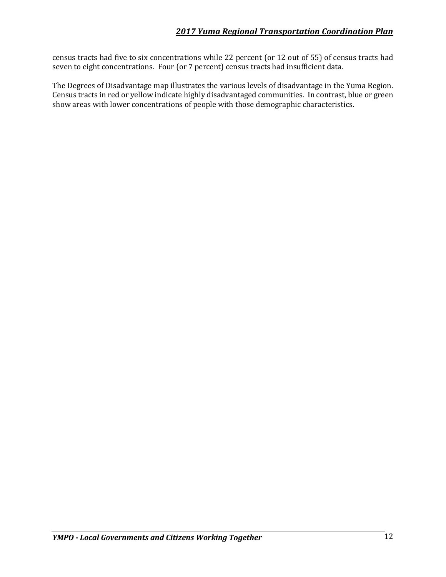census tracts had five to six concentrations while 22 percent (or 12 out of 55) of census tracts had seven to eight concentrations. Four (or 7 percent) census tracts had insufficient data.

The Degrees of Disadvantage map illustrates the various levels of disadvantage in the Yuma Region. Census tracts in red or yellow indicate highly disadvantaged communities. In contrast, blue or green show areas with lower concentrations of people with those demographic characteristics.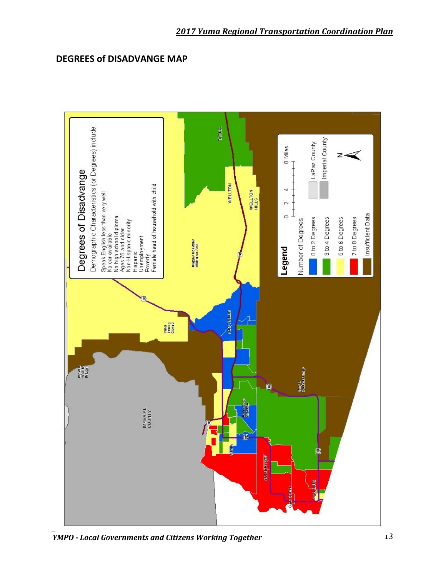

*YMPO - Local Governments and Citizens Working Together* 13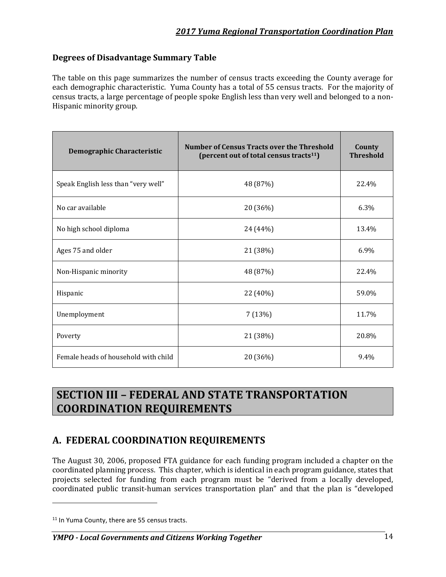### **Degrees of Disadvantage Summary Table**

The table on this page summarizes the number of census tracts exceeding the County average for each demographic characteristic. Yuma County has a total of 55 census tracts. For the majority of census tracts, a large percentage of people spoke English less than very well and belonged to a non-Hispanic minority group.

| <b>Demographic Characteristic</b>    | Number of Census Tracts over the Threshold<br>(percent out of total census tracts <sup>11</sup> ) | County<br><b>Threshold</b> |
|--------------------------------------|---------------------------------------------------------------------------------------------------|----------------------------|
| Speak English less than "very well"  | 48 (87%)                                                                                          | 22.4%                      |
| No car available                     | 20 (36%)                                                                                          | 6.3%                       |
| No high school diploma               | 24 (44%)                                                                                          | 13.4%                      |
| Ages 75 and older                    | 21 (38%)                                                                                          | 6.9%                       |
| Non-Hispanic minority                | 48 (87%)                                                                                          | 22.4%                      |
| Hispanic                             | 22 (40%)                                                                                          | 59.0%                      |
| Unemployment                         | 7(13%)                                                                                            | 11.7%                      |
| Poverty                              | 21 (38%)                                                                                          | 20.8%                      |
| Female heads of household with child | 20 (36%)                                                                                          | 9.4%                       |

# **SECTION III – FEDERAL AND STATE TRANSPORTATION COORDINATION REQUIREMENTS**

# **A. FEDERAL COORDINATION REQUIREMENTS**

The August 30, 2006, proposed FTA guidance for each funding program included a chapter on the coordinated planning process. This chapter, which is identical in each program guidance, states that projects selected for funding from each program must be "derived from a locally developed, coordinated public transit-human services transportation plan" and that the plan is "developed

l

<sup>&</sup>lt;sup>11</sup> In Yuma County, there are 55 census tracts.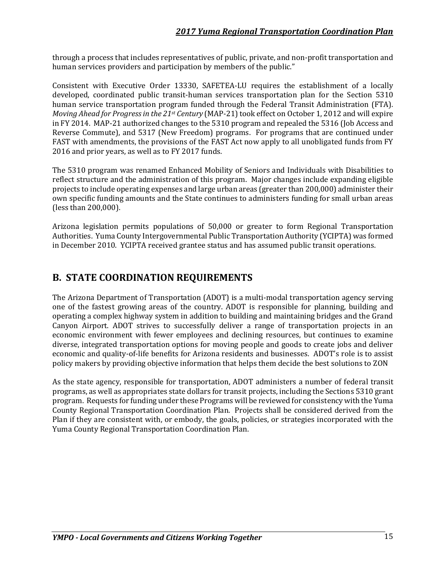through a process that includes representatives of public, private, and non-profit transportation and human services providers and participation by members of the public."

Consistent with Executive Order 13330, SAFETEA-LU requires the establishment of a locally developed, coordinated public transit-human services transportation plan for the Section 5310 human service transportation program funded through the Federal Transit Administration (FTA). *Moving Ahead for Progress in the 21st Century* (MAP-21) took effect on October 1, 2012 and will expire in FY 2014. MAP-21 authorized changes to the 5310 program and repealed the 5316 (Job Access and Reverse Commute), and 5317 (New Freedom) programs. For programs that are continued under FAST with amendments, the provisions of the FAST Act now apply to all unobligated funds from FY 2016 and prior years, as well as to FY 2017 funds.

The 5310 program was renamed Enhanced Mobility of Seniors and Individuals with Disabilities to reflect structure and the administration of this program. Major changes include expanding eligible projects to include operating expenses and large urban areas (greater than 200,000) administer their own specific funding amounts and the State continues to administers funding for small urban areas (less than 200,000).

Arizona legislation permits populations of 50,000 or greater to form Regional Transportation Authorities. Yuma County Intergovernmental Public Transportation Authority (YCIPTA) was formed in December 2010. YCIPTA received grantee status and has assumed public transit operations.

# **B. STATE COORDINATION REQUIREMENTS**

The Arizona Department of Transportation (ADOT) is a multi-modal transportation agency serving one of the fastest growing areas of the country. ADOT is responsible for planning, building and operating a complex highway system in addition to building and maintaining bridges and the Grand Canyon Airport. ADOT strives to successfully deliver a range of transportation projects in an economic environment with fewer employees and declining resources, but continues to examine diverse, integrated transportation options for moving people and goods to create jobs and deliver economic and quality-of-life benefits for Arizona residents and businesses. ADOT's role is to assist policy makers by providing objective information that helps them decide the best solutions to ZON

As the state agency, responsible for transportation, ADOT administers a number of federal transit programs, as well as appropriates state dollars for transit projects, including the Sections 5310 grant program. Requests for funding under these Programs will be reviewed for consistency with the Yuma County Regional Transportation Coordination Plan. Projects shall be considered derived from the Plan if they are consistent with, or embody, the goals, policies, or strategies incorporated with the Yuma County Regional Transportation Coordination Plan.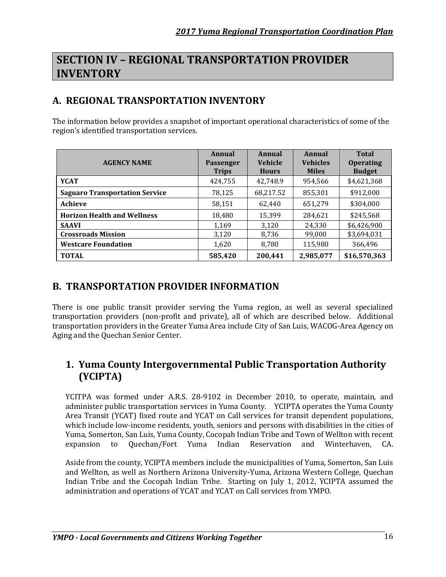# **SECTION IV – REGIONAL TRANSPORTATION PROVIDER INVENTORY**

## **A. REGIONAL TRANSPORTATION INVENTORY**

The information below provides a snapshot of important operational characteristics of some of the region's identified transportation services.

| <b>AGENCY NAME</b>                    | Annual<br><b>Passenger</b><br><b>Trips</b> | Annual<br><b>Vehicle</b><br><b>Hours</b> | Annual<br><b>Vehicles</b><br><b>Miles</b> | <b>Total</b><br><b>Operating</b><br><b>Budget</b> |
|---------------------------------------|--------------------------------------------|------------------------------------------|-------------------------------------------|---------------------------------------------------|
| <b>YCAT</b>                           | 424,755                                    | 42,748.9                                 | 954,566                                   | \$4,621,368                                       |
| <b>Saguaro Transportation Service</b> | 78,125                                     | 68,217.52                                | 855,301                                   | \$912,000                                         |
| Achieve                               | 58,151                                     | 62,440                                   | 651,279                                   | \$304,000                                         |
| <b>Horizon Health and Wellness</b>    | 18,480                                     | 15,399                                   | 284,621                                   | \$245,568                                         |
| <b>SAAVI</b>                          | 1,169                                      | 3,120                                    | 24,330                                    | \$6,426,900                                       |
| <b>Crossroads Mission</b>             | 3,120                                      | 8,736                                    | 99,000                                    | \$3,694,031                                       |
| <b>Westcare Foundation</b>            | 1,620                                      | 8,780                                    | 115,980                                   | 366,496                                           |
| <b>TOTAL</b>                          | 585,420                                    | 200,441                                  | 2,985,077                                 | \$16,570,363                                      |

### **B. TRANSPORTATION PROVIDER INFORMATION**

There is one public transit provider serving the Yuma region, as well as several specialized transportation providers (non-profit and private), all of which are described below. Additional transportation providers in the Greater Yuma Area include City of San Luis, WACOG-Area Agency on Aging and the Quechan Senior Center.

### **1. Yuma County Intergovernmental Public Transportation Authority (YCIPTA)**

YCITPA was formed under A.R.S. 28-9102 in December 2010, to operate, maintain, and administer public transportation services in Yuma County. YCIPTA operates the Yuma County Area Transit (YCAT) fixed route and YCAT on Call services for transit dependent populations, which include low-income residents, youth, seniors and persons with disabilities in the cities of Yuma, Somerton, San Luis, Yuma County, Cocopah Indian Tribe and Town of Wellton with recent expansion to Quechan/Fort Yuma Indian Reservation and Winterhaven, CA.

Aside from the county, YCIPTA members include the municipalities of Yuma, Somerton, San Luis and Wellton, as well as Northern Arizona University-Yuma, Arizona Western College, Quechan Indian Tribe and the Cocopah Indian Tribe. Starting on July 1, 2012, YCIPTA assumed the administration and operations of YCAT and YCAT on Call services from YMPO.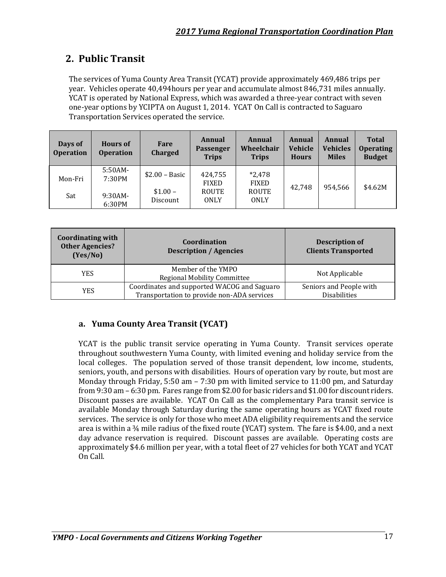# **2. Public Transit**

The services of Yuma County Area Transit (YCAT) provide approximately 469,486 trips per year. Vehicles operate 40,494hours per year and accumulate almost 846,731 miles annually. YCAT is operated by National Express, which was awarded a three-year contract with seven one-year options by YCIPTA on August 1, 2014. YCAT On Call is contracted to Saguaro Transportation Services operated the service.

| Days of<br><b>Operation</b> | <b>Hours of</b><br><b>Operation</b> | Fare<br><b>Charged</b> | Annual<br><b>Passenger</b><br><b>Trips</b> | Annual<br>Wheelchair<br><b>Trips</b> | Annual<br><b>Vehicle</b><br><b>Hours</b> | Annual<br><b>Vehicles</b><br><b>Miles</b> | <b>Total</b><br><b>Operating</b><br><b>Budget</b> |
|-----------------------------|-------------------------------------|------------------------|--------------------------------------------|--------------------------------------|------------------------------------------|-------------------------------------------|---------------------------------------------------|
| Mon-Fri                     | 5:50AM-<br>7:30PM                   | $$2.00 - Basic$        | 424,755<br><b>FIXED</b>                    | $*2,478$<br><b>FIXED</b>             |                                          |                                           |                                                   |
| Sat                         | 9:30AM-<br>6:30PM                   | $$1.00-$<br>Discount   | <b>ROUTE</b><br><b>ONLY</b>                | <b>ROUTE</b><br><b>ONLY</b>          | 42,748                                   | 954.566                                   | \$4.62M                                           |

| <b>Coordinating with</b><br><b>Other Agencies?</b><br>(Yes/No) | Coordination<br><b>Description / Agencies</b>                                             | <b>Description of</b><br><b>Clients Transported</b> |
|----------------------------------------------------------------|-------------------------------------------------------------------------------------------|-----------------------------------------------------|
| <b>YES</b>                                                     | Member of the YMPO<br><b>Regional Mobility Committee</b>                                  | Not Applicable                                      |
| <b>YES</b>                                                     | Coordinates and supported WACOG and Saguaro<br>Transportation to provide non-ADA services | Seniors and People with<br><b>Disabilities</b>      |

### **a. Yuma County Area Transit (YCAT)**

YCAT is the public transit service operating in Yuma County. Transit services operate throughout southwestern Yuma County, with limited evening and holiday service from the local colleges. The population served of those transit dependent, low income, students, seniors, youth, and persons with disabilities. Hours of operation vary by route, but most are Monday through Friday, 5:50 am – 7:30 pm with limited service to 11:00 pm, and Saturday from 9:30 am – 6:30 pm. Fares range from \$2.00 for basic riders and \$1.00 for discount riders. Discount passes are available. YCAT On Call as the complementary Para transit service is available Monday through Saturday during the same operating hours as YCAT fixed route services. The service is only for those who meet ADA eligibility requirements and the service area is within a  $\frac{3}{4}$  mile radius of the fixed route (YCAT) system. The fare is \$4.00, and a next day advance reservation is required. Discount passes are available. Operating costs are approximately \$4.6 million per year, with a total fleet of 27 vehicles for both YCAT and YCAT On Call.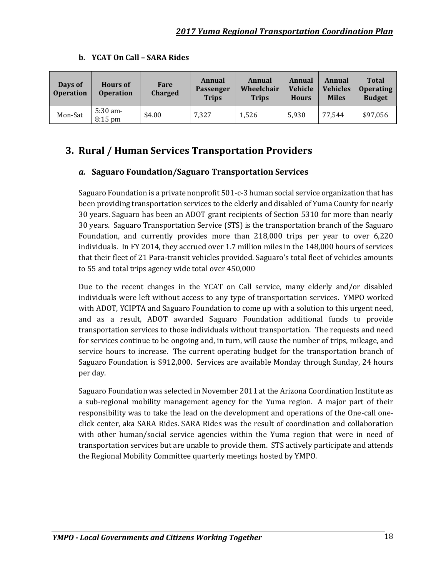| Days of<br><b>Operation</b> | <b>Hours of</b><br><b>Operation</b> | Fare<br><b>Charged</b> | Annual<br>Passenger<br><b>Trips</b> | Annual<br>Wheelchair<br><b>Trips</b> | Annual<br><b>Vehicle</b><br><b>Hours</b> | Annual<br><b>Vehicles</b><br><b>Miles</b> | <b>Total</b><br><b>Operating</b><br><b>Budget</b> |
|-----------------------------|-------------------------------------|------------------------|-------------------------------------|--------------------------------------|------------------------------------------|-------------------------------------------|---------------------------------------------------|
| Mon-Sat                     | $5:30$ am-<br>$8:15$ pm             | \$4.00                 | 7.327                               | 1,526                                | 5.930                                    | 77.544                                    | \$97,056                                          |

### **b. YCAT On Call – SARA Rides**

# **3. Rural / Human Services Transportation Providers**

### *a.* **Saguaro Foundation/Saguaro Transportation Services**

Saguaro Foundation is a private nonprofit 501-c-3 human social service organization that has been providing transportation services to the elderly and disabled of Yuma County for nearly 30 years. Saguaro has been an ADOT grant recipients of Section 5310 for more than nearly 30 years. Saguaro Transportation Service (STS) is the transportation branch of the Saguaro Foundation, and currently provides more than 218,000 trips per year to over 6,220 individuals. In FY 2014, they accrued over 1.7 million miles in the 148,000 hours of services that their fleet of 21 Para-transit vehicles provided. Saguaro's total fleet of vehicles amounts to 55 and total trips agency wide total over 450,000

Due to the recent changes in the YCAT on Call service, many elderly and/or disabled individuals were left without access to any type of transportation services. YMPO worked with ADOT, YCIPTA and Saguaro Foundation to come up with a solution to this urgent need, and as a result, ADOT awarded Saguaro Foundation additional funds to provide transportation services to those individuals without transportation. The requests and need for services continue to be ongoing and, in turn, will cause the number of trips, mileage, and service hours to increase. The current operating budget for the transportation branch of Saguaro Foundation is \$912,000. Services are available Monday through Sunday, 24 hours per day.

Saguaro Foundation was selected in November 2011 at the Arizona Coordination Institute as a sub-regional mobility management agency for the Yuma region. A major part of their responsibility was to take the lead on the development and operations of the One-call oneclick center, aka SARA Rides. SARA Rides was the result of coordination and collaboration with other human/social service agencies within the Yuma region that were in need of transportation services but are unable to provide them. STS actively participate and attends the Regional Mobility Committee quarterly meetings hosted by YMPO.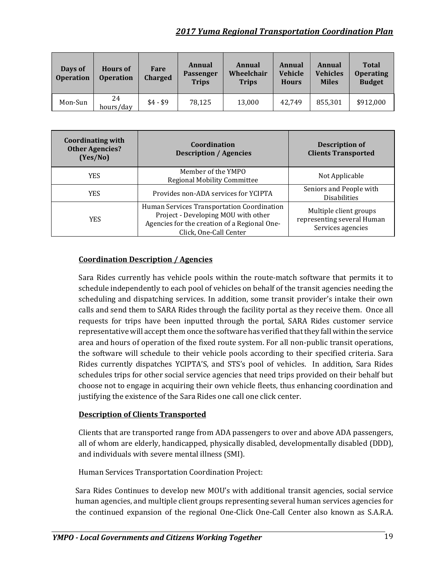| Days of<br><b>Operation</b> | <b>Hours of</b><br><b>Operation</b> | Fare<br><b>Charged</b> | Annual<br><b>Passenger</b><br><b>Trips</b> | Annual<br>Wheelchair<br><b>Trips</b> | Annual<br><b>Vehicle</b><br><b>Hours</b> | Annual<br><b>Vehicles</b><br><b>Miles</b> | <b>Total</b><br><b>Operating</b><br><b>Budget</b> |
|-----------------------------|-------------------------------------|------------------------|--------------------------------------------|--------------------------------------|------------------------------------------|-------------------------------------------|---------------------------------------------------|
| Mon-Sun                     | 24<br>hours/day                     | $$4 - $9$              | 78,125                                     | 13.000                               | 42.749                                   | 855,301                                   | \$912,000                                         |

| <b>Coordinating with</b><br><b>Other Agencies?</b><br>(Yes/No) | Coordination<br><b>Description / Agencies</b>                                                                                                               | Description of<br><b>Clients Transported</b>                              |
|----------------------------------------------------------------|-------------------------------------------------------------------------------------------------------------------------------------------------------------|---------------------------------------------------------------------------|
| <b>YES</b>                                                     | Member of the YMPO<br><b>Regional Mobility Committee</b>                                                                                                    | Not Applicable                                                            |
| <b>YES</b>                                                     | Provides non-ADA services for YCIPTA                                                                                                                        | Seniors and People with<br><b>Disabilities</b>                            |
| YES                                                            | Human Services Transportation Coordination<br>Project - Developing MOU with other<br>Agencies for the creation of a Regional One-<br>Click, One-Call Center | Multiple client groups<br>representing several Human<br>Services agencies |

#### **Coordination Description / Agencies**

Sara Rides currently has vehicle pools within the route-match software that permits it to schedule independently to each pool of vehicles on behalf of the transit agencies needing the scheduling and dispatching services. In addition, some transit provider's intake their own calls and send them to SARA Rides through the facility portal as they receive them. Once all requests for trips have been inputted through the portal, SARA Rides customer service representative will accept them once the software has verified that they fall within the service area and hours of operation of the fixed route system. For all non-public transit operations, the software will schedule to their vehicle pools according to their specified criteria. Sara Rides currently dispatches YCIPTA'S, and STS's pool of vehicles. In addition, Sara Rides schedules trips for other social service agencies that need trips provided on their behalf but choose not to engage in acquiring their own vehicle fleets, thus enhancing coordination and justifying the existence of the Sara Rides one call one click center.

#### **Description of Clients Transported**

Clients that are transported range from ADA passengers to over and above ADA passengers, all of whom are elderly, handicapped, physically disabled, developmentally disabled (DDD), and individuals with severe mental illness (SMI).

Human Services Transportation Coordination Project:

Sara Rides Continues to develop new MOU's with additional transit agencies, social service human agencies, and multiple client groups representing several human services agencies for the continued expansion of the regional One-Click One-Call Center also known as S.A.R.A.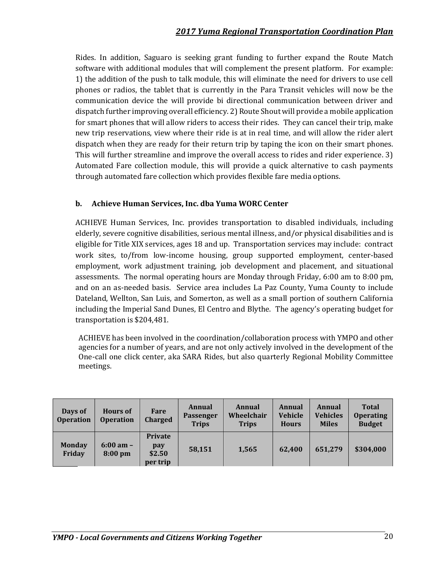Rides. In addition, Saguaro is seeking grant funding to further expand the Route Match software with additional modules that will complement the present platform. For example: 1) the addition of the push to talk module, this will eliminate the need for drivers to use cell phones or radios, the tablet that is currently in the Para Transit vehicles will now be the communication device the will provide bi directional communication between driver and dispatch further improving overall efficiency. 2) Route Shout will provide a mobile application for smart phones that will allow riders to access their rides. They can cancel their trip, make new trip reservations, view where their ride is at in real time, and will allow the rider alert dispatch when they are ready for their return trip by taping the icon on their smart phones. This will further streamline and improve the overall access to rides and rider experience. 3) Automated Fare collection module, this will provide a quick alternative to cash payments through automated fare collection which provides flexible fare media options.

#### **b. Achieve Human Services, Inc. dba Yuma WORC Center**

ACHIEVE Human Services, Inc. provides transportation to disabled individuals, including elderly, severe cognitive disabilities, serious mental illness, and/or physical disabilities and is eligible for Title XIX services, ages 18 and up. Transportation services may include: contract work sites, to/from low-income housing, group supported employment, center-based employment, work adjustment training, job development and placement, and situational assessments. The normal operating hours are Monday through Friday, 6:00 am to 8:00 pm, and on an as-needed basis. Service area includes La Paz County, Yuma County to include Dateland, Wellton, San Luis, and Somerton, as well as a small portion of southern California including the Imperial Sand Dunes, El Centro and Blythe. The agency's operating budget for transportation is \$204,481.

ACHIEVE has been involved in the coordination/collaboration process with YMPO and other agencies for a number of years, and are not only actively involved in the development of the One-call one click center, aka SARA Rides, but also quarterly Regional Mobility Committee meetings.

| Days of<br><b>Operation</b> | <b>Hours of</b><br><b>Operation</b>       | Fare<br><b>Charged</b>                      | <b>Annual</b><br>Passenger<br><b>Trips</b> | Annual<br>Wheelchair<br><b>Trips</b> | Annual<br><b>Vehicle</b><br><b>Hours</b> | <b>Annual</b><br><b>Vehicles</b><br><b>Miles</b> | <b>Total</b><br><b>Operating</b><br><b>Budget</b> |
|-----------------------------|-------------------------------------------|---------------------------------------------|--------------------------------------------|--------------------------------------|------------------------------------------|--------------------------------------------------|---------------------------------------------------|
| <b>Monday</b><br>Friday     | $6:00 \text{ am } -$<br>$8:00 \text{ pm}$ | <b>Private</b><br>pay<br>\$2.50<br>per trip | 58,151                                     | 1,565                                | 62.400                                   | 651,279                                          | \$304,000                                         |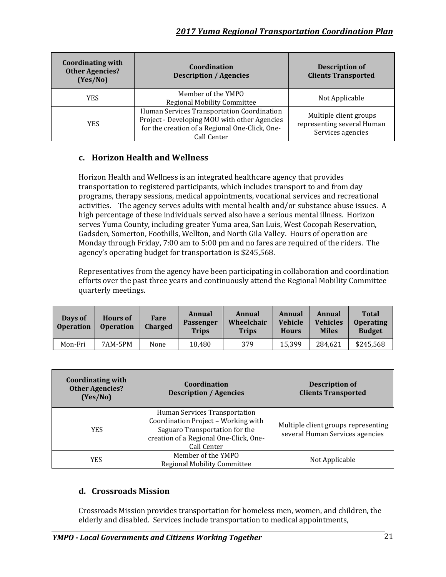| <b>Coordinating with</b><br><b>Other Agencies?</b><br>(Yes/No) | Coordination<br><b>Description / Agencies</b>                                                                                                               | <b>Description of</b><br><b>Clients Transported</b>                       |
|----------------------------------------------------------------|-------------------------------------------------------------------------------------------------------------------------------------------------------------|---------------------------------------------------------------------------|
| <b>YES</b>                                                     | Member of the YMPO<br><b>Regional Mobility Committee</b>                                                                                                    | Not Applicable                                                            |
| <b>YES</b>                                                     | Human Services Transportation Coordination<br>Project - Developing MOU with other Agencies<br>for the creation of a Regional One-Click, One-<br>Call Center | Multiple client groups<br>representing several Human<br>Services agencies |

### **c. Horizon Health and Wellness**

Horizon Health and Wellness is an integrated healthcare agency that provides transportation to registered participants, which includes transport to and from day programs, therapy sessions, medical appointments, vocational services and recreational activities. The agency serves adults with mental health and/or substance abuse issues. A high percentage of these individuals served also have a serious mental illness. Horizon serves Yuma County, including greater Yuma area, San Luis, West Cocopah Reservation, Gadsden, Somerton, Foothills, Wellton, and North Gila Valley. Hours of operation are Monday through Friday, 7:00 am to 5:00 pm and no fares are required of the riders. The agency's operating budget for transportation is \$245,568.

Representatives from the agency have been participating in collaboration and coordination efforts over the past three years and continuously attend the Regional Mobility Committee quarterly meetings.

| Days of<br><b>Operation</b> | <b>Hours of</b><br><b>Operation</b> | Fare<br><b>Charged</b> | Annual<br>Passenger<br><b>Trips</b> | Annual<br>Wheelchair<br><b>Trips</b> | <b>Annual</b><br><b>Vehicle</b><br><b>Hours</b> | Annual<br><b>Vehicles</b><br><b>Miles</b> | <b>Total</b><br><b>Operating</b><br><b>Budget</b> |
|-----------------------------|-------------------------------------|------------------------|-------------------------------------|--------------------------------------|-------------------------------------------------|-------------------------------------------|---------------------------------------------------|
| Mon-Fri                     | 7AM-5PM                             | None                   | 18.480                              | 379                                  | 15.399                                          | 284.621                                   | \$245,568                                         |

| <b>Coordinating with</b><br><b>Other Agencies?</b><br>(Yes/No) | Coordination<br><b>Description / Agencies</b>                                                                                                                   | <b>Description of</b><br><b>Clients Transported</b>                    |
|----------------------------------------------------------------|-----------------------------------------------------------------------------------------------------------------------------------------------------------------|------------------------------------------------------------------------|
| <b>YES</b>                                                     | Human Services Transportation<br>Coordination Project - Working with<br>Saguaro Transportation for the<br>creation of a Regional One-Click, One-<br>Call Center | Multiple client groups representing<br>several Human Services agencies |
| <b>YES</b>                                                     | Member of the YMPO<br><b>Regional Mobility Committee</b>                                                                                                        | Not Applicable                                                         |

### **d. Crossroads Mission**

Crossroads Mission provides transportation for homeless men, women, and children, the elderly and disabled. Services include transportation to medical appointments,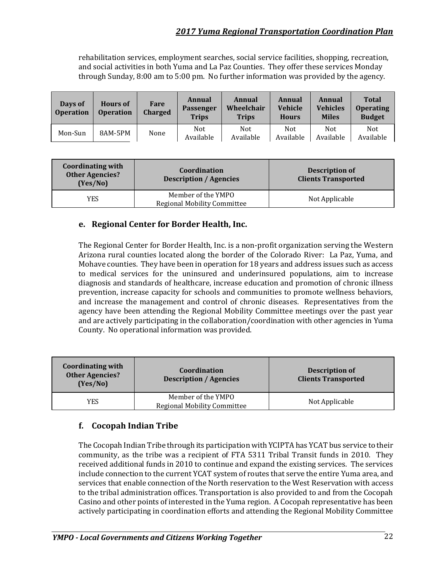rehabilitation services, employment searches, social service facilities, shopping, recreation, and social activities in both Yuma and La Paz Counties. They offer these services Monday through Sunday, 8:00 am to 5:00 pm. No further information was provided by the agency.

| Days of<br><b>Operation</b> | <b>Hours of</b><br><b>Operation</b> | Fare<br><b>Charged</b> | Annual<br>Passenger<br><b>Trips</b> | Annual<br>Wheelchair<br><b>Trips</b> | Annual<br>Vehicle<br><b>Hours</b> | Annual<br><b>Vehicles</b><br><b>Miles</b> | <b>Total</b><br><b>Operating</b><br><b>Budget</b> |
|-----------------------------|-------------------------------------|------------------------|-------------------------------------|--------------------------------------|-----------------------------------|-------------------------------------------|---------------------------------------------------|
| Mon-Sun                     | 8AM-5PM                             | None                   | Not<br>Available                    | <b>Not</b><br>Available              | <b>Not</b><br>Available           | <b>Not</b><br>Available                   | <b>Not</b><br>Available                           |

| <b>Coordinating with</b><br><b>Other Agencies?</b><br>(Yes/No) | Coordination<br><b>Description / Agencies</b>            | Description of<br><b>Clients Transported</b> |
|----------------------------------------------------------------|----------------------------------------------------------|----------------------------------------------|
| YES                                                            | Member of the YMPO<br><b>Regional Mobility Committee</b> | Not Applicable                               |

### **e. Regional Center for Border Health, Inc.**

The Regional Center for Border Health, Inc. is a non-profit organization serving the Western Arizona rural counties located along the border of the Colorado River: La Paz, Yuma, and Mohave counties. They have been in operation for 18 years and address issues such as access to medical services for the uninsured and underinsured populations, aim to increase diagnosis and standards of healthcare, increase education and promotion of chronic illness prevention, increase capacity for schools and communities to promote wellness behaviors, and increase the management and control of chronic diseases. Representatives from the agency have been attending the Regional Mobility Committee meetings over the past year and are actively participating in the collaboration/coordination with other agencies in Yuma County. No operational information was provided.

| <b>Coordinating with</b><br><b>Other Agencies?</b><br>(Yes/No) | Coordination<br><b>Description / Agencies</b>            | <b>Description of</b><br><b>Clients Transported</b> |  |
|----------------------------------------------------------------|----------------------------------------------------------|-----------------------------------------------------|--|
| <b>YES</b>                                                     | Member of the YMPO<br><b>Regional Mobility Committee</b> | Not Applicable                                      |  |

### **f. Cocopah Indian Tribe**

The Cocopah Indian Tribe through its participation with YCIPTA has YCAT bus service to their community, as the tribe was a recipient of FTA 5311 Tribal Transit funds in 2010. They received additional funds in 2010 to continue and expand the existing services. The services include connection to the current YCAT system of routes that serve the entire Yuma area, and services that enable connection of the North reservation to the West Reservation with access to the tribal administration offices. Transportation is also provided to and from the Cocopah Casino and other points of interested in the Yuma region. A Cocopah representative has been actively participating in coordination efforts and attending the Regional Mobility Committee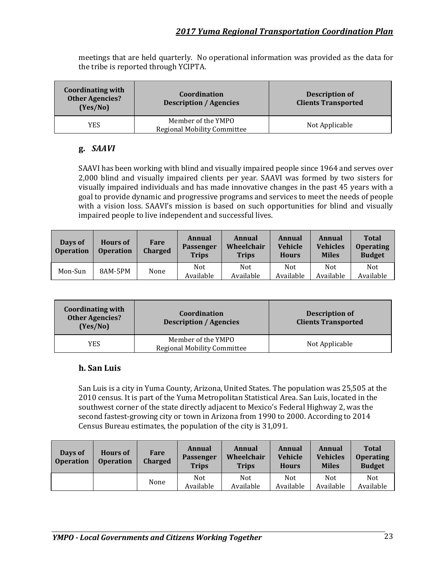meetings that are held quarterly. No operational information was provided as the data for the tribe is reported through YCIPTA.

| <b>Coordinating with</b><br><b>Other Agencies?</b><br>(Yes/No) | Coordination<br><b>Description / Agencies</b>            | Description of<br><b>Clients Transported</b> |  |
|----------------------------------------------------------------|----------------------------------------------------------|----------------------------------------------|--|
| <b>YES</b>                                                     | Member of the YMPO<br><b>Regional Mobility Committee</b> | Not Applicable                               |  |

### **g.** *SAAVI*

SAAVI has been working with blind and visually impaired people since 1964 and serves over 2,000 blind and visually impaired clients per year. SAAVI was formed by two sisters for visually impaired individuals and has made innovative changes in the past 45 years with a goal to provide dynamic and progressive programs and services to meet the needs of people with a vision loss. SAAVI's mission is based on such opportunities for blind and visually impaired people to live independent and successful lives.

| Days of<br><b>Operation</b> | <b>Hours of</b><br><b>Operation</b> | Fare<br>Charged | Annual<br><b>Passenger</b><br><b>Trips</b> | Annual<br>Wheelchair<br><b>Trips</b> | Annual<br>Vehicle<br><b>Hours</b> | Annual<br><b>Vehicles</b><br><b>Miles</b> | <b>Total</b><br><b>Operating</b><br><b>Budget</b> |
|-----------------------------|-------------------------------------|-----------------|--------------------------------------------|--------------------------------------|-----------------------------------|-------------------------------------------|---------------------------------------------------|
| Mon-Sun                     | 8AM-5PM                             | None            | Not<br>Available                           | <b>Not</b><br>Available              | Not<br>Available                  | <b>Not</b><br>Available                   | Not<br>Available                                  |

| <b>Coordinating with</b><br><b>Other Agencies?</b><br>(Yes/No) | Coordination<br><b>Description / Agencies</b>            | <b>Description of</b><br><b>Clients Transported</b> |  |
|----------------------------------------------------------------|----------------------------------------------------------|-----------------------------------------------------|--|
| YES                                                            | Member of the YMPO<br><b>Regional Mobility Committee</b> | Not Applicable                                      |  |

### **h. San Luis**

San Luis is a city in Yuma County, Arizona, United States. The population was 25,505 at the 2010 census. It is part of the Yuma Metropolitan Statistical Area. San Luis, located in the southwest corner of the state directly adjacent to Mexico's Federal Highway 2, was the second fastest-growing city or town in Arizona from 1990 to 2000. According to 2014 Census Bureau estimates, the population of the city is 31,091.

| Days of<br><b>Operation</b> | <b>Hours of</b><br><b>Operation</b> | Fare<br><b>Charged</b> | Annual<br><b>Passenger</b><br><b>Trips</b> | Annual<br>Wheelchair<br><b>Trips</b> | Annual<br><b>Vehicle</b><br><b>Hours</b> | Annual<br><b>Vehicles</b><br><b>Miles</b> | <b>Total</b><br><b>Operating</b><br><b>Budget</b> |
|-----------------------------|-------------------------------------|------------------------|--------------------------------------------|--------------------------------------|------------------------------------------|-------------------------------------------|---------------------------------------------------|
|                             |                                     | None                   | <b>Not</b><br>Available                    | Not<br>Available                     | <b>Not</b><br>Available                  | <b>Not</b><br>Available                   | Not<br>Available                                  |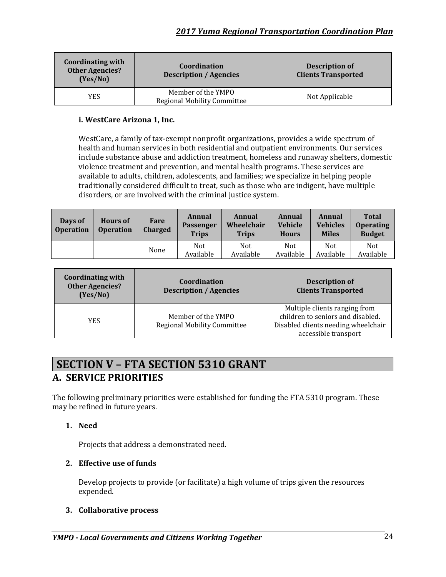| <b>Coordinating with</b><br><b>Other Agencies?</b><br>(Yes/No) | Coordination<br><b>Description / Agencies</b>            | <b>Description of</b><br><b>Clients Transported</b> |  |
|----------------------------------------------------------------|----------------------------------------------------------|-----------------------------------------------------|--|
| YES                                                            | Member of the YMPO<br><b>Regional Mobility Committee</b> | Not Applicable                                      |  |

### **i. WestCare Arizona 1, Inc.**

WestCare, a family of tax-exempt nonprofit organizations, provides a wide spectrum of health and human services in both residential and outpatient environments. Our services include substance abuse and addiction treatment, homeless and runaway shelters, domestic violence treatment and prevention, and mental health programs. These services are available to adults, children, adolescents, and families; we specialize in helping people traditionally considered difficult to treat, such as those who are indigent, have multiple disorders, or are involved with the criminal justice system.

| Days of<br><b>Operation</b> | <b>Hours of</b><br><b>Operation</b> | Fare<br><b>Charged</b> | Annual<br><b>Passenger</b><br><b>Trips</b> | Annual<br><b>Wheelchair</b><br><b>Trips</b> | Annual<br><b>Vehicle</b><br><b>Hours</b> | Annual<br><b>Vehicles</b><br><b>Miles</b> | <b>Total</b><br><b>Operating</b><br><b>Budget</b> |
|-----------------------------|-------------------------------------|------------------------|--------------------------------------------|---------------------------------------------|------------------------------------------|-------------------------------------------|---------------------------------------------------|
|                             |                                     | None                   | Not.<br>Available                          | <b>Not</b><br>Available                     | <b>Not</b><br>Available                  | <b>Not</b><br>Available                   | <b>Not</b><br>Available                           |

| <b>Coordinating with</b><br><b>Other Agencies?</b><br>(Yes/No) | Coordination<br><b>Description / Agencies</b>            | Description of<br><b>Clients Transported</b>                                                                                      |  |
|----------------------------------------------------------------|----------------------------------------------------------|-----------------------------------------------------------------------------------------------------------------------------------|--|
| <b>YES</b>                                                     | Member of the YMPO<br><b>Regional Mobility Committee</b> | Multiple clients ranging from<br>children to seniors and disabled.<br>Disabled clients needing wheelchair<br>accessible transport |  |

# **SECTION V – FTA SECTION 5310 GRANT A. SERVICE PRIORITIES**

The following preliminary priorities were established for funding the FTA 5310 program. These may be refined in future years.

### **1. Need**

Projects that address a demonstrated need.

### **2. Effective use of funds**

Develop projects to provide (or facilitate) a high volume of trips given the resources expended.

#### **3. Collaborative process**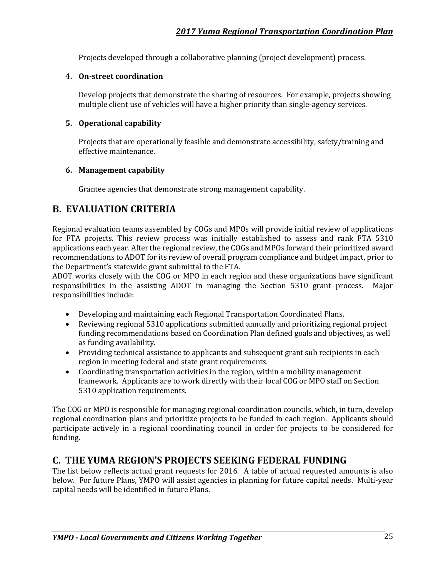Projects developed through a collaborative planning (project development) process.

#### **4. On-street coordination**

Develop projects that demonstrate the sharing of resources. For example, projects showing multiple client use of vehicles will have a higher priority than single-agency services.

#### **5. Operational capability**

Projects that are operationally feasible and demonstrate accessibility, safety/training and effective maintenance.

#### **6. Management capability**

Grantee agencies that demonstrate strong management capability.

### **B. EVALUATION CRITERIA**

Regional evaluation teams assembled by COGs and MPOs will provide initial review of applications for FTA projects. This review process was initially established to assess and rank FTA 5310 applications each year. After the regional review, the COGs and MPOs forward their prioritized award recommendations to ADOT for its review of overall program compliance and budget impact, prior to the Department's statewide grant submittal to the FTA.

ADOT works closely with the COG or MPO in each region and these organizations have significant responsibilities in the assisting ADOT in managing the Section 5310 grant process. Major responsibilities include:

- Developing and maintaining each Regional Transportation Coordinated Plans.
- Reviewing regional 5310 applications submitted annually and prioritizing regional project funding recommendations based on Coordination Plan defined goals and objectives, as well as funding availability.
- Providing technical assistance to applicants and subsequent grant sub recipients in each region in meeting federal and state grant requirements.
- Coordinating transportation activities in the region, within a mobility management framework. Applicants are to work directly with their local COG or MPO staff on Section 5310 application requirements.

The COG or MPO is responsible for managing regional coordination councils, which, in turn, develop regional coordination plans and prioritize projects to be funded in each region. Applicants should participate actively in a regional coordinating council in order for projects to be considered for funding.

### **C. THE YUMA REGION'S PROJECTS SEEKING FEDERAL FUNDING**

The list below reflects actual grant requests for 2016. A table of actual requested amounts is also below. For future Plans, YMPO will assist agencies in planning for future capital needs. Multi-year capital needs will be identified in future Plans.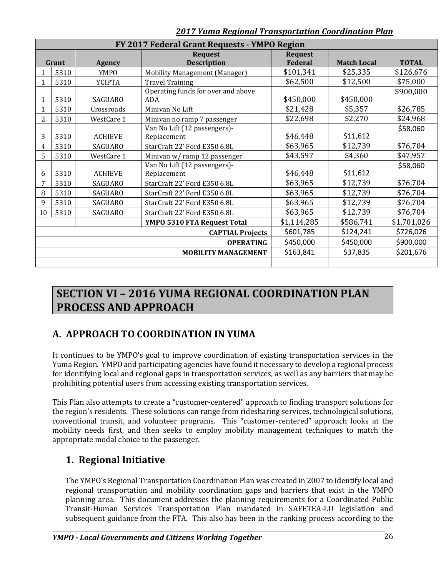|                | FY 2017 Federal Grant Requests - YMPO Region |                |                                    |                |                    |              |
|----------------|----------------------------------------------|----------------|------------------------------------|----------------|--------------------|--------------|
|                |                                              |                | <b>Request</b>                     | <b>Request</b> |                    |              |
|                | Grant                                        | Agency         | <b>Description</b>                 | Federal        | <b>Match Local</b> | <b>TOTAL</b> |
|                | 5310                                         | <b>YMPO</b>    | Mobility Management (Manager)      | \$101,341      | \$25,335           | \$126,676    |
| $\mathbf{1}$   | 5310                                         | <b>YCIPTA</b>  | <b>Travel Training</b>             | \$62,500       | \$12,500           | \$75,000     |
|                |                                              |                | Operating funds for over and above |                |                    | \$900,000    |
| 1              | 5310                                         | SAGUARO        | ADA                                | \$450,000      | \$450,000          |              |
|                | 5310                                         | Crossroads     | Minivan No Lift                    | \$21,428       | \$5,357            | \$26,785     |
| $\overline{2}$ | 5310                                         | WestCare 1     | Minivan no ramp 7 passenger        | \$22,698       | \$2,270            | \$24,968     |
|                |                                              |                | Van No Lift (12 passengers)-       |                |                    | \$58,060     |
| 3              | 5310                                         | <b>ACHIEVE</b> | Replacement                        | \$46,448       | \$11,612           |              |
| 4              | 5310                                         | SAGUARO        | StarCraft 22' Ford E350 6.8L       | \$63,965       | \$12,739           | \$76,704     |
| 5.             | 5310                                         | WestCare 1     | Minivan w/ ramp 12 passenger       | \$43,597       | \$4,360            | \$47,957     |
|                |                                              |                | Van No Lift (12 passengers)-       |                |                    | \$58,060     |
| 6              | 5310                                         | <b>ACHIEVE</b> | Replacement                        | \$46,448       | \$11,612           |              |
| 7              | 5310                                         | SAGUARO        | StarCraft 22' Ford E350 6.8L       | \$63,965       | \$12,739           | \$76,704     |
| 8              | 5310                                         | SAGUARO        | StarCraft 22' Ford E350 6.8L       | \$63,965       | \$12,739           | \$76,704     |
| 9              | 5310                                         | SAGUARO        | StarCraft 22' Ford E350 6.8L       | \$63,965       | \$12,739           | \$76,704     |
| 10             | 5310                                         | SAGUARO        | StarCraft 22' Ford E350 6.8L       | \$63,965       | \$12,739           | \$76,704     |
|                |                                              |                | YMPO 5310 FTA Request Total        | \$1,114,285    | \$586,741          | \$1,701,026  |
|                |                                              |                | <b>CAPTIAL Projects</b>            | \$601,785      | \$124,241          | \$726,026    |
|                |                                              |                | <b>OPERATING</b>                   | \$450,000      | \$450,000          | \$900,000    |
|                |                                              |                | <b>MOBILITY MANAGEMENT</b>         | \$163,841      | \$37,835           | \$201,676    |
|                |                                              |                |                                    |                |                    |              |

# **SECTION VI – 2016 YUMA REGIONAL COORDINATION PLAN PROCESS AND APPROACH**

# **A. APPROACH TO COORDINATION IN YUMA**

It continues to be YMPO's goal to improve coordination of existing transportation services in the Yuma Region. YMPO and participating agencies have found it necessary to develop a regional process for identifying local and regional gaps in transportation services, as well as any barriers that may be prohibiting potential users from accessing existing transportation services.

This Plan also attempts to create a "customer-centered" approach to finding transport solutions for the region's residents. These solutions can range from ridesharing services, technological solutions, conventional transit, and volunteer programs. This "customer-centered" approach looks at the mobility needs first, and then seeks to employ mobility management techniques to match the appropriate modal choice to the passenger.

# **1. Regional Initiative**

The YMPO's Regional Transportation Coordination Plan was created in 2007 to identify local and regional transportation and mobility coordination gaps and barriers that exist in the YMPO planning area. This document addresses the planning requirements for a Coordinated Public Transit-Human Services Transportation Plan mandated in SAFETEA-LU legislation and subsequent guidance from the FTA. This also has been in the ranking process according to the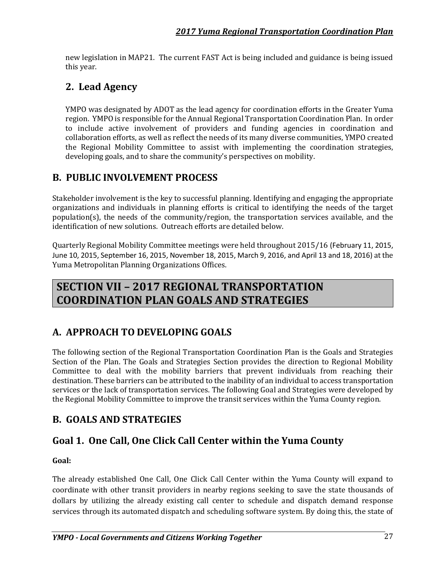new legislation in MAP21. The current FAST Act is being included and guidance is being issued this year.

# **2. Lead Agency**

YMPO was designated by ADOT as the lead agency for coordination efforts in the Greater Yuma region. YMPO is responsible for the Annual Regional Transportation Coordination Plan. In order to include active involvement of providers and funding agencies in coordination and collaboration efforts, as well as reflect the needs of its many diverse communities, YMPO created the Regional Mobility Committee to assist with implementing the coordination strategies, developing goals, and to share the community's perspectives on mobility.

# **B. PUBLIC INVOLVEMENT PROCESS**

Stakeholder involvement is the key to successful planning. Identifying and engaging the appropriate organizations and individuals in planning efforts is critical to identifying the needs of the target population(s), the needs of the community/region, the transportation services available, and the identification of new solutions. Outreach efforts are detailed below.

Quarterly Regional Mobility Committee meetings were held throughout 2015/16 (February 11, 2015, June 10, 2015, September 16, 2015, November 18, 2015, March 9, 2016, and April 13 and 18, 2016) at the Yuma Metropolitan Planning Organizations Offices.

# **SECTION VII – 2017 REGIONAL TRANSPORTATION COORDINATION PLAN GOALS AND STRATEGIES**

# **A. APPROACH TO DEVELOPING GOALS**

The following section of the Regional Transportation Coordination Plan is the Goals and Strategies Section of the Plan. The Goals and Strategies Section provides the direction to Regional Mobility Committee to deal with the mobility barriers that prevent individuals from reaching their destination. These barriers can be attributed to the inability of an individual to access transportation services or the lack of transportation services. The following Goal and Strategies were developed by the Regional Mobility Committee to improve the transit services within the Yuma County region.

# **B. GOALS AND STRATEGIES**

# **Goal 1. One Call, One Click Call Center within the Yuma County**

### **Goal:**

The already established One Call, One Click Call Center within the Yuma County will expand to coordinate with other transit providers in nearby regions seeking to save the state thousands of dollars by utilizing the already existing call center to schedule and dispatch demand response services through its automated dispatch and scheduling software system. By doing this, the state of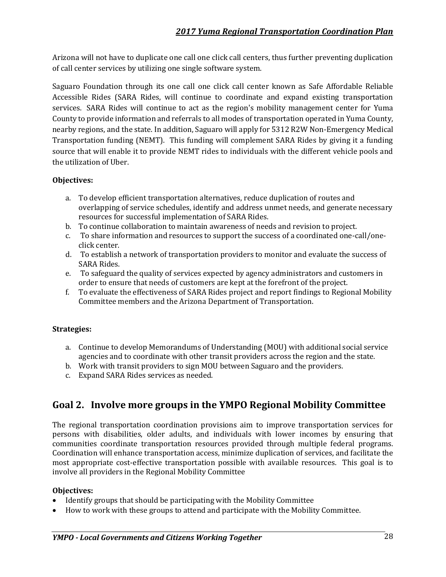Arizona will not have to duplicate one call one click call centers, thus further preventing duplication of call center services by utilizing one single software system.

Saguaro Foundation through its one call one click call center known as Safe Affordable Reliable Accessible Rides (SARA Rides, will continue to coordinate and expand existing transportation services. SARA Rides will continue to act as the region's mobility management center for Yuma County to provide information and referrals to all modes of transportation operated in Yuma County, nearby regions, and the state. In addition, Saguaro will apply for 5312 R2W Non-Emergency Medical Transportation funding (NEMT). This funding will complement SARA Rides by giving it a funding source that will enable it to provide NEMT rides to individuals with the different vehicle pools and the utilization of Uber.

### **Objectives:**

- a. To develop efficient transportation alternatives, reduce duplication of routes and overlapping of service schedules, identify and address unmet needs, and generate necessary resources for successful implementation of SARA Rides.
- b. To continue collaboration to maintain awareness of needs and revision to project.
- c. To share information and resources to support the success of a coordinated one-call/oneclick center.
- d. To establish a network of transportation providers to monitor and evaluate the success of SARA Rides.
- e. To safeguard the quality of services expected by agency administrators and customers in order to ensure that needs of customers are kept at the forefront of the project.
- f. To evaluate the effectiveness of SARA Rides project and report findings to Regional Mobility Committee members and the Arizona Department of Transportation.

### **Strategies:**

- a. Continue to develop Memorandums of Understanding (MOU) with additional social service agencies and to coordinate with other transit providers across the region and the state.
- b. Work with transit providers to sign MOU between Saguaro and the providers.
- c. Expand SARA Rides services as needed.

# **Goal 2. Involve more groups in the YMPO Regional Mobility Committee**

The regional transportation coordination provisions aim to improve transportation services for persons with disabilities, older adults, and individuals with lower incomes by ensuring that communities coordinate transportation resources provided through multiple federal programs. Coordination will enhance transportation access, minimize duplication of services, and facilitate the most appropriate cost-effective transportation possible with available resources. This goal is to involve all providers in the Regional Mobility Committee

### **Objectives:**

- Identify groups that should be participating with the Mobility Committee
- How to work with these groups to attend and participate with the Mobility Committee.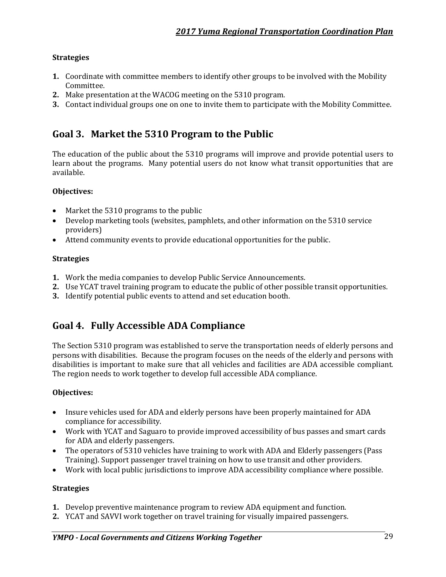### **Strategies**

- **1.** Coordinate with committee members to identify other groups to be involved with the Mobility Committee.
- **2.** Make presentation at the WACOG meeting on the 5310 program.
- **3.** Contact individual groups one on one to invite them to participate with the Mobility Committee.

# **Goal 3. Market the 5310 Program to the Public**

The education of the public about the 5310 programs will improve and provide potential users to learn about the programs. Many potential users do not know what transit opportunities that are available.

### **Objectives:**

- Market the 5310 programs to the public
- Develop marketing tools (websites, pamphlets, and other information on the 5310 service providers)
- Attend community events to provide educational opportunities for the public.

### **Strategies**

- **1.** Work the media companies to develop Public Service Announcements.
- **2.** Use YCAT travel training program to educate the public of other possible transit opportunities.
- **3.** Identify potential public events to attend and set education booth.

# **Goal 4. Fully Accessible ADA Compliance**

The Section 5310 program was established to serve the transportation needs of elderly persons and persons with disabilities. Because the program focuses on the needs of the elderly and persons with disabilities is important to make sure that all vehicles and facilities are ADA accessible compliant. The region needs to work together to develop full accessible ADA compliance.

### **Objectives:**

- Insure vehicles used for ADA and elderly persons have been properly maintained for ADA compliance for accessibility.
- Work with YCAT and Saguaro to provide improved accessibility of bus passes and smart cards for ADA and elderly passengers.
- The operators of 5310 vehicles have training to work with ADA and Elderly passengers (Pass Training). Support passenger travel training on how to use transit and other providers.
- Work with local public jurisdictions to improve ADA accessibility compliance where possible.

### **Strategies**

- **1.** Develop preventive maintenance program to review ADA equipment and function.
- **2.** YCAT and SAVVI work together on travel training for visually impaired passengers.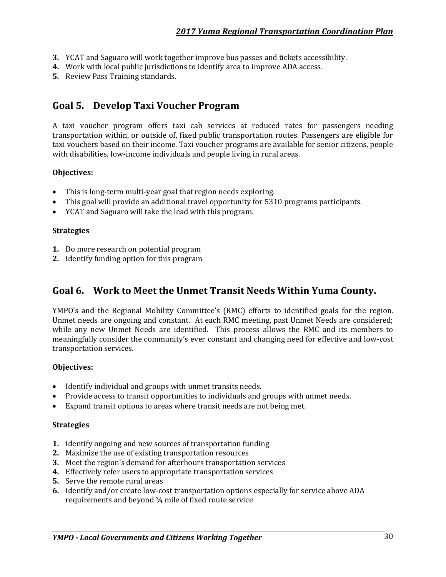- **3.** YCAT and Saguaro will work together improve bus passes and tickets accessibility.
- **4.** Work with local public jurisdictions to identify area to improve ADA access.
- **5.** Review Pass Training standards.

### **Goal 5. Develop Taxi Voucher Program**

A taxi voucher program offers taxi cab services at reduced rates for passengers needing transportation within, or outside of, fixed public transportation routes. Passengers are eligible for taxi vouchers based on their income. Taxi voucher programs are available for senior citizens, people with disabilities, low-income individuals and people living in rural areas.

#### **Objectives:**

- This is long-term multi-year goal that region needs exploring.
- This goal will provide an additional travel opportunity for 5310 programs participants.
- YCAT and Saguaro will take the lead with this program.

#### **Strategies**

- **1.** Do more research on potential program
- **2.** Identify funding option for this program

### **Goal 6. Work to Meet the Unmet Transit Needs Within Yuma County.**

YMPO's and the Regional Mobility Committee's (RMC) efforts to identified goals for the region. Unmet needs are ongoing and constant. At each RMC meeting, past Unmet Needs are considered; while any new Unmet Needs are identified. This process allows the RMC and its members to meaningfully consider the community's ever constant and changing need for effective and low-cost transportation services.

#### **Objectives:**

- Identify individual and groups with unmet transits needs.
- Provide access to transit opportunities to individuals and groups with unmet needs.
- Expand transit options to areas where transit needs are not being met.

#### **Strategies**

- **1.** Identify ongoing and new sources of transportation funding
- **2.** Maximize the use of existing transportation resources
- **3.** Meet the region's demand for afterhours transportation services
- **4.** Effectively refer users to appropriate transportation services
- **5.** Serve the remote rural areas
- **6.** Identify and/or create low-cost transportation options especially for service above ADA requirements and beyond ¾ mile of fixed route service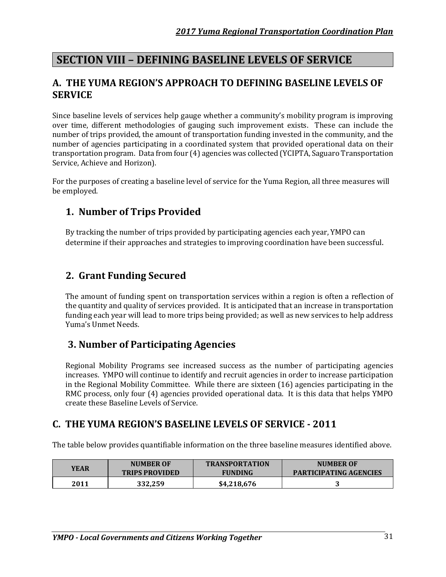# **SECTION VIII – DEFINING BASELINE LEVELS OF SERVICE**

### **A. THE YUMA REGION'S APPROACH TO DEFINING BASELINE LEVELS OF SERVICE**

Since baseline levels of services help gauge whether a community's mobility program is improving over time, different methodologies of gauging such improvement exists. These can include the number of trips provided, the amount of transportation funding invested in the community, and the number of agencies participating in a coordinated system that provided operational data on their transportation program. Data from four (4) agencies was collected (YCIPTA, Saguaro Transportation Service, Achieve and Horizon).

For the purposes of creating a baseline level of service for the Yuma Region, all three measures will be employed.

### **1. Number of Trips Provided**

By tracking the number of trips provided by participating agencies each year, YMPO can determine if their approaches and strategies to improving coordination have been successful.

# **2. Grant Funding Secured**

The amount of funding spent on transportation services within a region is often a reflection of the quantity and quality of services provided. It is anticipated that an increase in transportation funding each year will lead to more trips being provided; as well as new services to help address Yuma's Unmet Needs.

### **3. Number of Participating Agencies**

Regional Mobility Programs see increased success as the number of participating agencies increases. YMPO will continue to identify and recruit agencies in order to increase participation in the Regional Mobility Committee. While there are sixteen (16) agencies participating in the RMC process, only four (4) agencies provided operational data. It is this data that helps YMPO create these Baseline Levels of Service.

# **C. THE YUMA REGION'S BASELINE LEVELS OF SERVICE - 2011**

The table below provides quantifiable information on the three baseline measures identified above.

| YEAR | <b>NUMBER OF</b>      | <b>TRANSPORTATION</b> | <b>NUMBER OF</b>              |
|------|-----------------------|-----------------------|-------------------------------|
|      | <b>TRIPS PROVIDED</b> | <b>FUNDING</b>        | <b>PARTICIPATING AGENCIES</b> |
| 2011 | 332,259               | \$4,218,676           |                               |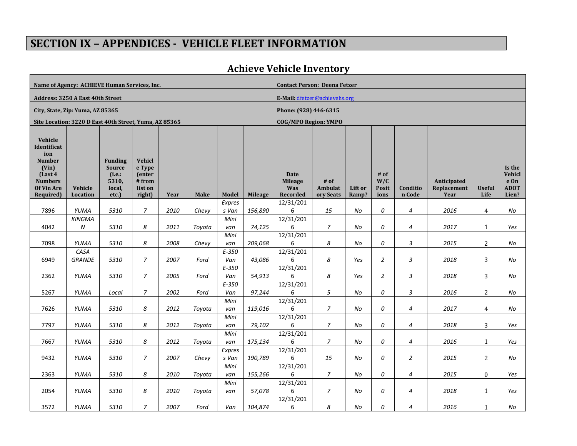# **SECTION IX – APPENDICES - VEHICLE FLEET INFORMATION**

| Name of Agency: ACHIEVE Human Services, Inc.                                                                           |                            |                                                                       |                                                                          |      |             |               |                | <b>Contact Person: Deena Fetzer</b>              |                                     |                  |                              |                    |                                           |                       |                                                         |
|------------------------------------------------------------------------------------------------------------------------|----------------------------|-----------------------------------------------------------------------|--------------------------------------------------------------------------|------|-------------|---------------|----------------|--------------------------------------------------|-------------------------------------|------------------|------------------------------|--------------------|-------------------------------------------|-----------------------|---------------------------------------------------------|
| Address: 3250 A East 40th Street                                                                                       |                            |                                                                       |                                                                          |      |             |               |                | E-Mail: dfetzer@achievehs.org                    |                                     |                  |                              |                    |                                           |                       |                                                         |
| City, State, Zip: Yuma, AZ 85365                                                                                       |                            |                                                                       |                                                                          |      |             |               |                | Phone: (928) 446-6315                            |                                     |                  |                              |                    |                                           |                       |                                                         |
| Site Location: 3220 D East 40th Street, Yuma, AZ 85365                                                                 |                            |                                                                       |                                                                          |      |             |               |                | <b>COG/MPO Region: YMPO</b>                      |                                     |                  |                              |                    |                                           |                       |                                                         |
| Vehicle<br>Identificat<br>ion<br><b>Number</b><br>(Vin)<br>(Last 4<br><b>Numbers</b><br><b>Of Vin Are</b><br>Required) | <b>Vehicle</b><br>Location | <b>Funding</b><br><b>Source</b><br>(i.e.:<br>5310.<br>local,<br>etc.) | <b>Vehicl</b><br>e Type<br><i>(enter)</i><br># from<br>list on<br>right) | Year | <b>Make</b> | Model         | <b>Mileage</b> | Date<br><b>Mileage</b><br>Was<br><b>Recorded</b> | # of<br><b>Ambulat</b><br>ory Seats | Lift or<br>Ramp? | # of<br>W/C<br>Posit<br>ions | Conditio<br>n Code | Anticipated<br><b>Replacement</b><br>Year | <b>Useful</b><br>Life | Is the<br><b>Vehicl</b><br>e On<br><b>ADOT</b><br>Lien? |
| 7896                                                                                                                   | YUMA                       | 5310                                                                  | $\overline{7}$                                                           | 2010 |             | <b>Expres</b> |                | 12/31/201<br>6                                   |                                     | No               | 0                            | $\overline{4}$     |                                           | $\overline{4}$        | No                                                      |
|                                                                                                                        | <b>KINGMA</b>              |                                                                       |                                                                          |      | Chevy       | s Van<br>Mini | 156,890        | 12/31/201                                        | 15                                  |                  |                              |                    | 2016                                      |                       |                                                         |
| 4042                                                                                                                   | N                          | 5310                                                                  | 8                                                                        | 2011 | Tovota      | van           | 74,125         | 6                                                | $\overline{7}$                      | No               | 0                            | $\overline{4}$     | 2017                                      | $\mathbf{1}$          | Yes                                                     |
|                                                                                                                        |                            |                                                                       |                                                                          |      |             | Mini          |                | 12/31/201                                        |                                     |                  |                              |                    |                                           |                       |                                                         |
| 7098                                                                                                                   | YUMA                       | 5310                                                                  | 8                                                                        | 2008 | Chevy       | van           | 209,068        | 6                                                | 8                                   | No               | 0                            | 3                  | 2015                                      | 2                     | No                                                      |
|                                                                                                                        | CASA                       |                                                                       |                                                                          |      |             | $E - 350$     |                | 12/31/201                                        |                                     |                  |                              |                    |                                           |                       |                                                         |
| 6949                                                                                                                   | <b>GRANDE</b>              | 5310                                                                  | $\overline{7}$                                                           | 2007 | Ford        | Van           | 43,086         | 6                                                | 8                                   | Yes              | $\overline{2}$               | 3                  | 2018                                      | 3                     | No                                                      |
|                                                                                                                        |                            |                                                                       |                                                                          |      |             | $E - 350$     |                | 12/31/201                                        |                                     |                  |                              |                    |                                           |                       |                                                         |
| 2362                                                                                                                   | YUMA                       | 5310                                                                  | $\overline{7}$                                                           | 2005 | Ford        | Van           | 54,913         | 6                                                | 8                                   | Yes              | $\overline{2}$               | 3                  | 2018                                      | 3                     | No                                                      |
|                                                                                                                        |                            |                                                                       | $\overline{7}$                                                           |      |             | $E - 350$     |                | 12/31/201                                        |                                     |                  |                              |                    |                                           |                       |                                                         |
| 5267                                                                                                                   | YUMA                       | Local                                                                 |                                                                          | 2002 | Ford        | Van<br>Mini   | 97,244         | 6<br>12/31/201                                   | 5                                   | No               | 0                            | 3                  | 2016                                      | 2                     | No                                                      |
| 7626                                                                                                                   | YUMA                       | 5310                                                                  | 8                                                                        | 2012 | Tovota      | van           | 119,016        | 6                                                | $\overline{z}$                      | No               | 0                            | $\overline{4}$     | 2017                                      | $\overline{4}$        | No                                                      |
|                                                                                                                        |                            |                                                                       |                                                                          |      |             | Mini          |                | 12/31/201                                        |                                     |                  |                              |                    |                                           |                       |                                                         |
| 7797                                                                                                                   | YUMA                       | 5310                                                                  | 8                                                                        | 2012 | Toyota      | van           | 79,102         | 6                                                | $\overline{7}$                      | No               | 0                            | $\overline{4}$     | 2018                                      | 3                     | Yes                                                     |
|                                                                                                                        |                            |                                                                       |                                                                          |      |             | Mini          |                | 12/31/201                                        |                                     |                  |                              |                    |                                           |                       |                                                         |
| 7667                                                                                                                   | YUMA                       | 5310                                                                  | 8                                                                        | 2012 | Tovota      | van           | 175,134        | 6                                                | $\overline{7}$                      | No               | 0                            | 4                  | 2016                                      | 1                     | Yes                                                     |
|                                                                                                                        |                            |                                                                       |                                                                          |      |             | Expres        |                | 12/31/201                                        |                                     |                  |                              |                    |                                           |                       |                                                         |
| 9432                                                                                                                   | YUMA                       | 5310                                                                  | $\overline{7}$                                                           | 2007 | Chevy       | s Van         | 190,789        | 6                                                | 15                                  | No               | 0                            | $\overline{a}$     | 2015                                      | $\overline{2}$        | No                                                      |
|                                                                                                                        |                            |                                                                       |                                                                          |      |             | Mini          |                | 12/31/201                                        |                                     |                  |                              |                    |                                           |                       |                                                         |
| 2363                                                                                                                   | YUMA                       | 5310                                                                  | 8                                                                        | 2010 | Tovota      | van           | 155,266        | 6                                                | $\overline{7}$                      | No               | 0                            | $\overline{4}$     | 2015                                      | $\mathbf{0}$          | Yes                                                     |
|                                                                                                                        |                            |                                                                       |                                                                          |      |             | Mini          |                | 12/31/201                                        |                                     |                  |                              |                    |                                           |                       |                                                         |
| 2054                                                                                                                   | YUMA                       | 5310                                                                  | 8                                                                        | 2010 | Toyota      | van           | 57,078         | 6                                                | $\overline{7}$                      | No               | 0                            | 4                  | 2018                                      | $\mathbf{1}$          | Yes                                                     |
|                                                                                                                        |                            |                                                                       |                                                                          |      |             |               |                | 12/31/201                                        |                                     |                  |                              |                    |                                           |                       |                                                         |
| 3572                                                                                                                   | YUMA                       | 5310                                                                  | $\overline{7}$                                                           | 2007 | Ford        | Van           | 104,874        | 6                                                | 8                                   | No               | 0                            | $\overline{4}$     | 2016                                      | $\mathbf{1}$          | No                                                      |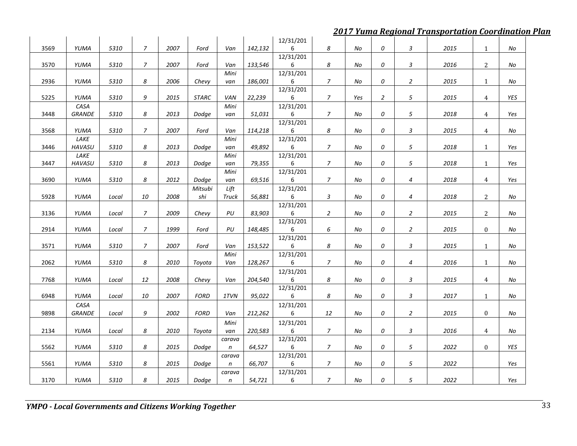*2017 Yuma Regional Transportation Coordination Plan* 

|      |               |       |                |      |              |                            |         |                |                |     |   |                | 2017 типш недилин тгинэрөгшийн соогинший |                  |            |
|------|---------------|-------|----------------|------|--------------|----------------------------|---------|----------------|----------------|-----|---|----------------|------------------------------------------|------------------|------------|
|      |               |       |                |      |              |                            |         | 12/31/201      |                |     |   |                |                                          |                  |            |
| 3569 | YUMA          | 5310  | $\overline{z}$ | 2007 | Ford         | Van                        | 142,132 | 6              | 8              | No  | 0 | 3              | 2015                                     | $\mathbf{1}$     | No         |
|      |               |       |                |      |              |                            |         | 12/31/201      |                |     |   |                |                                          |                  |            |
| 3570 | YUMA          | 5310  | 7              | 2007 | Ford         | Van                        | 133,546 | 6              | 8              | No  | 0 | 3              | 2016                                     | $\overline{c}$   | $\it No$   |
|      |               |       |                |      |              | Mini                       |         | 12/31/201      |                |     |   |                |                                          |                  |            |
| 2936 | YUMA          | 5310  | 8              | 2006 | Chevy        | van                        | 186,001 | 6              | $\overline{7}$ | No  | 0 | $\overline{a}$ | 2015                                     | 1                | No         |
|      |               |       |                |      |              |                            |         | 12/31/201      |                |     |   |                |                                          |                  |            |
| 5225 | YUMA          | 5310  | 9              | 2015 | <b>STARC</b> | VAN                        | 22,239  | 6              | $\overline{7}$ | Yes | 2 | 5              | 2015                                     | 4                | YES        |
|      | CASA          |       |                |      |              | Mini                       |         | 12/31/201      |                |     |   |                |                                          |                  |            |
| 3448 | <b>GRANDE</b> | 5310  | 8              | 2013 | Dodge        | van                        | 51,031  | 6              | $\overline{z}$ | No  | 0 | 5              | 2018                                     | $\overline{4}$   | Yes        |
|      |               |       |                |      |              |                            |         | 12/31/201      |                |     |   |                |                                          |                  |            |
| 3568 | YUMA          | 5310  | $\overline{z}$ | 2007 | Ford         | Van                        | 114,218 | 6              | 8              | No  | 0 | $\mathfrak{Z}$ | 2015                                     | $\overline{4}$   | $\it No$   |
|      | LAKE          |       |                |      |              | Mini                       |         | 12/31/201      |                |     |   |                |                                          |                  |            |
| 3446 | <b>HAVASU</b> | 5310  | 8              | 2013 | Dodge        | van                        | 49,892  | 6              | $\overline{7}$ | No  | 0 | 5              | 2018                                     | 1                | Yes        |
|      | LAKE          |       |                |      |              | Mini                       |         | 12/31/201      |                |     |   |                |                                          |                  |            |
| 3447 | <b>HAVASU</b> | 5310  | 8              | 2013 | Dodge        | van                        | 79,355  | 6              | $\overline{7}$ | No  | 0 | 5              | 2018                                     | 1                | Yes        |
|      |               |       |                |      |              | Mini                       |         | 12/31/201      |                |     |   |                |                                          |                  |            |
| 3690 | YUMA          | 5310  | 8              | 2012 | Dodge        | van                        | 69,516  | 6              | 7              | No  | 0 | $\overline{4}$ | 2018                                     | $\overline{4}$   | Yes        |
|      |               |       |                |      | Mitsubi      | Lift                       |         | 12/31/201      |                |     |   |                |                                          |                  |            |
| 5928 | YUMA          | Local | 10             | 2008 | shi          | <b>Truck</b>               | 56,881  | 6              | 3              | No  | 0 | 4              | 2018                                     | $\overline{c}$   | $\it No$   |
|      |               |       |                |      |              |                            |         | 12/31/201      |                |     |   |                |                                          |                  |            |
| 3136 | YUMA          | Local | $\overline{7}$ | 2009 | Chevy        | ${\cal {PU}}$              | 83,903  | 6              | $\overline{2}$ | No  | 0 | $\overline{a}$ | 2015                                     | $\overline{c}$   | No         |
|      |               |       |                |      |              |                            |         | 12/31/201      |                |     |   |                |                                          |                  |            |
| 2914 | YUMA          | Local | $\overline{7}$ | 1999 | Ford         | ${\cal {PU}}$              | 148,485 | 6              | 6              | No  | 0 | $\overline{a}$ | 2015                                     | $\boldsymbol{0}$ | $\it No$   |
|      |               |       |                |      |              |                            |         | 12/31/201      |                |     |   |                |                                          |                  |            |
| 3571 | YUMA          | 5310  | 7              | 2007 | Ford         | Van                        | 153,522 | 6              | 8              | No  | 0 | $\mathfrak{Z}$ | 2015                                     | 1                | $\it No$   |
|      |               |       |                |      |              | Mini                       |         | 12/31/201      |                |     |   |                |                                          |                  |            |
| 2062 | YUMA          | 5310  | 8              | 2010 | Toyota       | Van                        | 128,267 | 6              | $\overline{7}$ | No  | 0 | $\overline{4}$ | 2016                                     | $\mathbf{1}$     | $\it No$   |
|      |               |       |                |      |              |                            |         | 12/31/201      |                |     |   |                |                                          |                  |            |
| 7768 | YUMA          | Local | 12             | 2008 | Chevy        | Van                        | 204,540 | 6              | 8              | No  | 0 | 3              | 2015                                     | $\overline{4}$   | No         |
|      |               |       |                |      |              |                            |         | 12/31/201      |                |     |   |                |                                          |                  |            |
| 6948 | YUMA          | Local | 10             | 2007 | <b>FORD</b>  | 1TVN                       | 95,022  | 6              | 8              | No  | 0 | $\mathfrak{Z}$ | 2017                                     | $\mathbf{1}$     | $\it No$   |
|      | CASA          |       |                |      |              |                            |         | 12/31/201      |                |     |   |                |                                          |                  |            |
| 9898 | <b>GRANDE</b> | Local | 9              | 2002 | FORD         | Van                        | 212,262 | 6              | 12             | No  | 0 | $\overline{a}$ | 2015                                     | $\boldsymbol{0}$ | No         |
|      |               |       |                |      |              | Mini                       |         | 12/31/201      |                |     |   |                |                                          |                  |            |
| 2134 | YUMA          | Local | 8              | 2010 | Toyota       | van                        | 220,583 | 6              | $\overline{7}$ | No  | 0 | $\mathfrak{Z}$ | 2016                                     | 4                | $\it No$   |
|      |               |       |                |      |              |                            |         | 12/31/201      |                |     |   |                |                                          |                  |            |
| 5562 |               | 5310  | 8              | 2015 |              | carava                     | 64,527  | 6              | $\overline{7}$ |     | 0 |                | 2022                                     | $\boldsymbol{0}$ | <b>YES</b> |
|      | YUMA          |       |                |      | Dodae        | n                          |         |                |                | No  |   | 5              |                                          |                  |            |
| 5561 | YUMA          | 5310  | 8              | 2015 | Dodge        | carava<br>$\boldsymbol{n}$ | 66,707  | 12/31/201<br>6 | $\overline{7}$ | No  | 0 | 5              | 2022                                     |                  | Yes        |
|      |               |       |                |      |              |                            |         |                |                |     |   |                |                                          |                  |            |
|      |               |       |                |      |              | carava                     |         | 12/31/201      |                |     |   |                |                                          |                  |            |
| 3170 | YUMA          | 5310  | 8              | 2015 | Dodge        | $\boldsymbol{n}$           | 54,721  | 6              | $\overline{7}$ | No  | 0 | 5              | 2022                                     |                  | Yes        |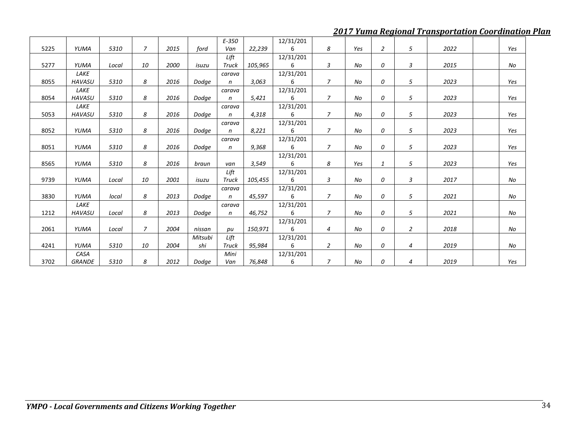*2017 Yuma Regional Transportation Coordination Plan* 

|      |               |       |                |      |         | $E-350$          |         | 12/31/201 |                |           |              |                |      |     |
|------|---------------|-------|----------------|------|---------|------------------|---------|-----------|----------------|-----------|--------------|----------------|------|-----|
| 5225 | YUMA          | 5310  | $\overline{7}$ | 2015 | ford    | Van              | 22,239  | 6         | 8              | Yes       | 2            | 5              | 2022 | Yes |
|      |               |       |                |      |         | Lift             |         | 12/31/201 |                |           |              |                |      |     |
| 5277 | YUMA          | Local | 10             | 2000 | isuzu   | <b>Truck</b>     | 105,965 | 6         | 3              | <b>No</b> | 0            | 3              | 2015 | No  |
|      | LAKE          |       |                |      |         | carava           |         | 12/31/201 |                |           |              |                |      |     |
| 8055 | <b>HAVASU</b> | 5310  | 8              | 2016 | Dodge   | $\boldsymbol{n}$ | 3,063   | 6         | $\overline{7}$ | No        | 0            | 5              | 2023 | Yes |
|      | LAKE          |       |                |      |         | carava           |         | 12/31/201 |                |           |              |                |      |     |
| 8054 | <b>HAVASU</b> | 5310  | 8              | 2016 | Dodge   | $\mathsf{n}$     | 5,421   | 6         | $\overline{7}$ | No        | 0            | 5              | 2023 | Yes |
|      | LAKE          |       |                |      |         | carava           |         | 12/31/201 |                |           |              |                |      |     |
| 5053 | <b>HAVASU</b> | 5310  | 8              | 2016 | Dodge   | n                | 4,318   | 6         | $\overline{7}$ | No        | 0            | 5              | 2023 | Yes |
|      |               |       |                |      |         | carava           |         | 12/31/201 |                |           |              |                |      |     |
| 8052 | YUMA          | 5310  | 8              | 2016 | Dodge   | n                | 8,221   | 6         | $\overline{7}$ | No        | 0            | 5              | 2023 | Yes |
|      |               |       |                |      |         | carava           |         | 12/31/201 |                |           |              |                |      |     |
| 8051 | YUMA          | 5310  | 8              | 2016 | Dodge   | $\mathsf{n}$     | 9,368   | 6         | $\overline{7}$ | No        | 0            | 5              | 2023 | Yes |
|      |               |       |                |      |         |                  |         | 12/31/201 |                |           |              |                |      |     |
| 8565 | YUMA          | 5310  | 8              | 2016 | braun   | van              | 3,549   | 6         | 8              | Yes       | $\mathbf{1}$ | 5              | 2023 | Yes |
|      |               |       |                |      |         | Lift             |         | 12/31/201 |                |           |              |                |      |     |
| 9739 | YUMA          | Local | 10             | 2001 | isuzu   | <b>Truck</b>     | 105,455 | 6         | 3              | No        | 0            | 3              | 2017 | No  |
|      |               |       |                |      |         | carava           |         | 12/31/201 |                |           |              |                |      |     |
| 3830 | YUMA          | local | 8              | 2013 | Dodge   | $\mathsf{n}$     | 45,597  | 6         | $\overline{7}$ | <b>No</b> | 0            | 5              | 2021 | No  |
|      | LAKE          |       |                |      |         | carava           |         | 12/31/201 |                |           |              |                |      |     |
| 1212 | <b>HAVASU</b> | Local | 8              | 2013 | Dodge   | n                | 46,752  | 6         | $\overline{7}$ | No        | 0            | 5              | 2021 | No  |
|      |               |       |                |      |         |                  |         | 12/31/201 |                |           |              |                |      |     |
| 2061 | YUMA          | Local | $\overline{7}$ | 2004 | nissan  | pu               | 150,971 | 6         | 4              | No        | 0            | $\overline{2}$ | 2018 | No  |
|      |               |       |                |      | Mitsubi | Lift             |         | 12/31/201 |                |           |              |                |      |     |
| 4241 | YUMA          | 5310  | 10             | 2004 | shi     | <b>Truck</b>     | 95,984  | 6         | $\overline{2}$ | No        | 0            | 4              | 2019 | No  |
|      | CASA          |       |                |      |         | Mini             |         | 12/31/201 |                |           |              |                |      |     |
| 3702 | <b>GRANDE</b> | 5310  | 8              | 2012 | Dodge   | Van              | 76,848  | 6         | $\overline{7}$ | <b>No</b> | 0            | 4              | 2019 | Yes |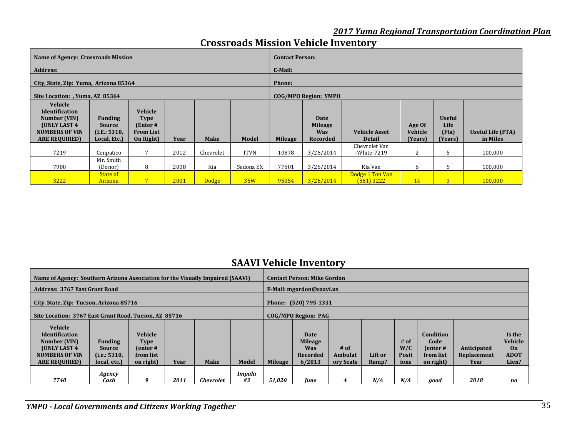### **Crossroads Mission Vehicle Inventory**

| Name of Agency: Crossroads Mission                                                                                        |                                                         |                                                                     |      |             |             | <b>Contact Person:</b> |                                                  |                                       |                                     |                                           |                               |
|---------------------------------------------------------------------------------------------------------------------------|---------------------------------------------------------|---------------------------------------------------------------------|------|-------------|-------------|------------------------|--------------------------------------------------|---------------------------------------|-------------------------------------|-------------------------------------------|-------------------------------|
| <b>Address:</b>                                                                                                           |                                                         |                                                                     |      |             |             | E-Mail:                |                                                  |                                       |                                     |                                           |                               |
| City, State, Zip: Yuma, Arizona 85364                                                                                     |                                                         |                                                                     |      |             |             | <b>Phone:</b>          |                                                  |                                       |                                     |                                           |                               |
| Site Location: , Yuma, AZ 85364                                                                                           |                                                         |                                                                     |      |             |             |                        | COG/MPO Region: YMPO                             |                                       |                                     |                                           |                               |
| Vehicle<br><b>Identification</b><br>Number (VIN)<br><b>(ONLY LAST 4)</b><br><b>NUMBERS OF VIN</b><br><b>ARE REQUIRED)</b> | <b>Funding</b><br>Source<br>(LE.: 5310,<br>Local, Etc.) | Vehicle<br><b>Type</b><br>(Enter #<br><b>From List</b><br>On Right) | Year | <b>Make</b> | Model       | <b>Mileage</b>         | Date<br><b>Mileage</b><br>Was<br><b>Recorded</b> | <b>Vehicle Asset</b><br><b>Detail</b> | Age Of<br><b>Vehicle</b><br>(Years) | <b>Useful</b><br>Life<br>(Fta)<br>(Years) | Useful Life (FTA)<br>in Miles |
| 7219                                                                                                                      | Cenpatico                                               |                                                                     | 2012 | Chevrolet   | <b>ITVN</b> | 10878                  | 3/26/2014                                        | Chevrolet Van<br>-White-7219          | 2                                   | 5                                         | 100,000                       |
| 7980                                                                                                                      | Mr. Smith<br>(Donor)                                    | 8                                                                   | 2008 | Kia         | Sedona EX   | 77801                  | 3/26/2014                                        | Kia Van                               | 6                                   | 5                                         | 100,000                       |
| 3222                                                                                                                      | State of<br><b>Arizona</b>                              |                                                                     | 2001 | Dodge       | <b>35W</b>  | 95054                  | 3/26/2014                                        | Dodge 1 Ton Van<br>$(561)$ 3222       | 14                                  | 3                                         | 100,000                       |

### **SAAVI Vehicle Inventory**

| Name of Agency: Southern Arizona Association for the Visually Impaired (SAAVI)                                                   |                                                          |                                                                |      |                  |              |                | <b>Contact Person: Mike Gordon</b>                         |                                |                  |                                |                                                           |                                    |                                                 |
|----------------------------------------------------------------------------------------------------------------------------------|----------------------------------------------------------|----------------------------------------------------------------|------|------------------|--------------|----------------|------------------------------------------------------------|--------------------------------|------------------|--------------------------------|-----------------------------------------------------------|------------------------------------|-------------------------------------------------|
| <b>Address: 3767 East Grant Road</b>                                                                                             |                                                          |                                                                |      |                  |              |                | E-Mail: mgordon@saavi.us                                   |                                |                  |                                |                                                           |                                    |                                                 |
| City, State, Zip: Tucson, Arizona 85716                                                                                          |                                                          |                                                                |      |                  |              |                | Phone: (520) 795-1331                                      |                                |                  |                                |                                                           |                                    |                                                 |
| Site Location: 3767 East Grant Road, Tucson, AZ 85716                                                                            |                                                          |                                                                |      |                  |              |                | COG/MPO Region: PAG                                        |                                |                  |                                |                                                           |                                    |                                                 |
| <b>Vehicle</b><br><b>Identification</b><br>Number (VIN)<br><b>(ONLY LAST 4)</b><br><b>NUMBERS OF VIN</b><br><b>ARE REQUIRED)</b> | <b>Funding</b><br>Source<br>(i.e.: 5310,<br>local, etc.) | Vehicle<br><b>Type</b><br>$[$ enter#<br>from list<br>on right) | Year | <b>Make</b>      | Model        | <b>Mileage</b> | Date<br><b>Mileage</b><br><b>Was</b><br>Recorded<br>6/2013 | $#$ of<br>Ambulat<br>ory Seats | Lift or<br>Ramp? | $#$ of<br>W/C<br>Posit<br>ions | Condition<br>Code<br>$[$ enter#<br>from list<br>on right) | Anticipated<br>Replacement<br>Year | Is the<br>Vehicle<br>On<br><b>ADOT</b><br>Lien? |
| 7740                                                                                                                             | Agency<br>Cash                                           |                                                                | 2011 | <b>Chevrolet</b> | Impala<br>#3 | 51,020         | June                                                       |                                | N/A              | N/A                            | good                                                      | 2018                               | no                                              |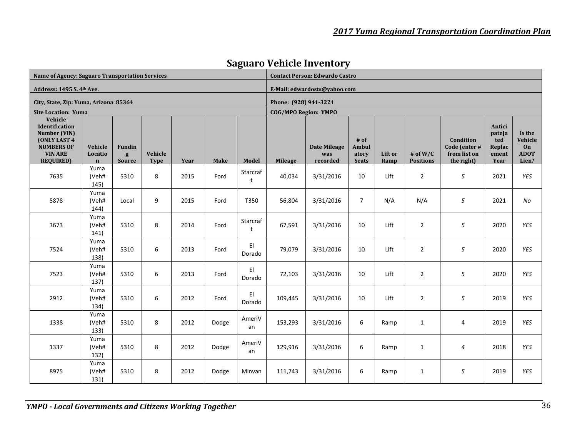| Name of Agency: Saguaro Transportation Services                                                                      |                                          |                                     |                        |      |             |               |                             | <b>Contact Person: Edwardo Castro</b>  |                                                 |                 |                                |                                                          |                                                    |                                                 |
|----------------------------------------------------------------------------------------------------------------------|------------------------------------------|-------------------------------------|------------------------|------|-------------|---------------|-----------------------------|----------------------------------------|-------------------------------------------------|-----------------|--------------------------------|----------------------------------------------------------|----------------------------------------------------|-------------------------------------------------|
| Address: 1495 S. 4th Ave.                                                                                            |                                          |                                     |                        |      |             |               |                             | E-Mail: edwardosts@yahoo.com           |                                                 |                 |                                |                                                          |                                                    |                                                 |
| City, State, Zip: Yuma, Arizona 85364                                                                                |                                          |                                     |                        |      |             |               | Phone: (928) 941-3221       |                                        |                                                 |                 |                                |                                                          |                                                    |                                                 |
| <b>Site Location: Yuma</b>                                                                                           |                                          |                                     |                        |      |             |               | <b>COG/MPO Region: YMPO</b> |                                        |                                                 |                 |                                |                                                          |                                                    |                                                 |
| Vehicle<br>Identification<br>Number (VIN)<br>(ONLY LAST 4<br><b>NUMBERS OF</b><br><b>VIN ARE</b><br><b>REQUIRED)</b> | <b>Vehicle</b><br>Locatio<br>$\mathbf n$ | <b>Fundin</b><br>g<br><b>Source</b> | Vehicle<br><b>Type</b> | Year | <b>Make</b> | Model         | <b>Mileage</b>              | <b>Date Mileage</b><br>was<br>recorded | $#$ of<br><b>Ambul</b><br>atory<br><b>Seats</b> | Lift or<br>Ramp | # of $W/C$<br><b>Positions</b> | Condition<br>Code (enter #<br>from list on<br>the right) | Antici<br>pate[a<br>ted<br>Replac<br>ement<br>Year | Is the<br>Vehicle<br>On<br><b>ADOT</b><br>Lien? |
| 7635                                                                                                                 | Yuma<br>(Veh#<br>145)                    | 5310                                | 8                      | 2015 | Ford        | Starcraf<br>t | 40,034                      | 3/31/2016                              | 10                                              | Lift            | $\overline{2}$                 | 5                                                        | 2021                                               | YES                                             |
| 5878                                                                                                                 | Yuma<br>(Veh#<br>144)                    | Local                               | 9                      | 2015 | Ford        | T350          | 56,804                      | 3/31/2016                              | $\overline{7}$                                  | N/A             | N/A                            | $\sqrt{5}$                                               | 2021                                               | No                                              |
| 3673                                                                                                                 | Yuma<br>(Veh#<br>141)                    | 5310                                | 8                      | 2014 | Ford        | Starcraf<br>t | 67,591                      | 3/31/2016                              | 10                                              | Lift            | $\overline{2}$                 | 5                                                        | 2020                                               | YES                                             |
| 7524                                                                                                                 | Yuma<br>(Veh#<br>138)                    | 5310                                | 6                      | 2013 | Ford        | EI.<br>Dorado | 79,079                      | 3/31/2016                              | 10                                              | Lift            | $\overline{2}$                 | $\sqrt{5}$                                               | 2020                                               | YES                                             |
| 7523                                                                                                                 | Yuma<br>(Veh#<br>137)                    | 5310                                | 6                      | 2013 | Ford        | EI.<br>Dorado | 72,103                      | 3/31/2016                              | 10                                              | Lift            | $\overline{2}$                 | 5                                                        | 2020                                               | YES                                             |
| 2912                                                                                                                 | Yuma<br>(Veh#<br>134)                    | 5310                                | 6                      | 2012 | Ford        | EI.<br>Dorado | 109,445                     | 3/31/2016                              | 10                                              | Lift            | $\overline{2}$                 | 5                                                        | 2019                                               | YES                                             |
| 1338                                                                                                                 | Yuma<br>(Veh#<br>133)                    | 5310                                | 8                      | 2012 | Dodge       | AmeriV<br>an  | 153,293                     | 3/31/2016                              | 6                                               | Ramp            | $\mathbf{1}$                   | 4                                                        | 2019                                               | YES                                             |
| 1337                                                                                                                 | Yuma<br>(Veh#<br>132)                    | 5310                                | 8                      | 2012 | Dodge       | AmeriV<br>an  | 129,916                     | 3/31/2016                              | 6                                               | Ramp            | $\mathbf{1}$                   | $\overline{4}$                                           | 2018                                               | YES                                             |
| 8975                                                                                                                 | Yuma<br>(Veh#<br>131)                    | 5310                                | 8                      | 2012 | Dodge       | Minvan        | 111,743                     | 3/31/2016                              | 6                                               | Ramp            | $\mathbf{1}$                   | $\sqrt{5}$                                               | 2019                                               | YES                                             |

# **Saguaro Vehicle Inventory**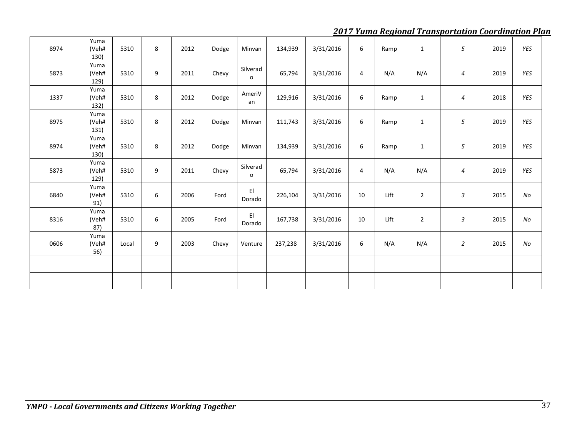| 8974 | Yuma<br>(Veh#<br>130) | 5310  | 8 | 2012 | Dodge | Minvan        | 134,939 | 3/31/2016 | 6  | Ramp | $\mathbf{1}$   | 5              | 2019 | <b>YES</b> |
|------|-----------------------|-------|---|------|-------|---------------|---------|-----------|----|------|----------------|----------------|------|------------|
| 5873 | Yuma<br>(Veh#<br>129) | 5310  | 9 | 2011 | Chevy | Silverad<br>o | 65,794  | 3/31/2016 | 4  | N/A  | N/A            | 4              | 2019 | YES        |
| 1337 | Yuma<br>(Veh#<br>132) | 5310  | 8 | 2012 | Dodge | AmeriV<br>an  | 129,916 | 3/31/2016 | 6  | Ramp | $\mathbf{1}$   | $\sqrt{4}$     | 2018 | YES        |
| 8975 | Yuma<br>(Veh#<br>131) | 5310  | 8 | 2012 | Dodge | Minvan        | 111,743 | 3/31/2016 | 6  | Ramp | $\mathbf{1}$   | 5              | 2019 | YES        |
| 8974 | Yuma<br>(Veh#<br>130) | 5310  | 8 | 2012 | Dodge | Minvan        | 134,939 | 3/31/2016 | 6  | Ramp | $\mathbf{1}$   | 5              | 2019 | YES        |
| 5873 | Yuma<br>(Veh#<br>129) | 5310  | 9 | 2011 | Chevy | Silverad<br>o | 65,794  | 3/31/2016 | 4  | N/A  | N/A            | 4              | 2019 | YES        |
| 6840 | Yuma<br>(Veh#<br>91)  | 5310  | 6 | 2006 | Ford  | EI.<br>Dorado | 226,104 | 3/31/2016 | 10 | Lift | $\overline{2}$ | $\mathfrak{Z}$ | 2015 | No         |
| 8316 | Yuma<br>(Veh#<br>87)  | 5310  | 6 | 2005 | Ford  | EI<br>Dorado  | 167,738 | 3/31/2016 | 10 | Lift | $\overline{2}$ | 3              | 2015 | No         |
| 0606 | Yuma<br>(Veh#<br>56)  | Local | 9 | 2003 | Chevy | Venture       | 237,238 | 3/31/2016 | 6  | N/A  | N/A            | $\overline{2}$ | 2015 | No         |
|      |                       |       |   |      |       |               |         |           |    |      |                |                |      |            |
|      |                       |       |   |      |       |               |         |           |    |      |                |                |      |            |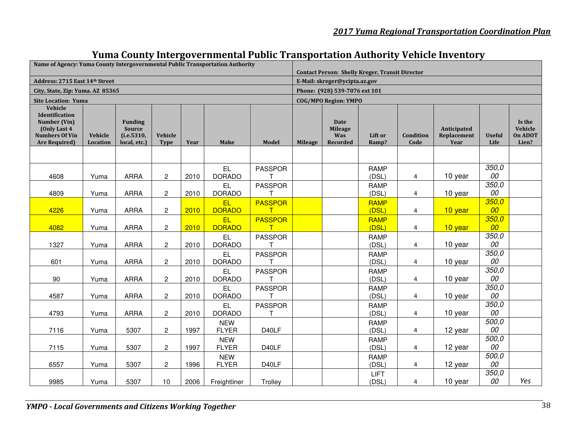| Name of Agency: Yuma County Intergovernmental Public Transportation Authority                               |                     |                                                                |                         |      |                            |                     |                |                                                  | <b>Contact Person: Shelly Kreger, Transit Director</b> |                   |                                    |                       |                                              |
|-------------------------------------------------------------------------------------------------------------|---------------------|----------------------------------------------------------------|-------------------------|------|----------------------------|---------------------|----------------|--------------------------------------------------|--------------------------------------------------------|-------------------|------------------------------------|-----------------------|----------------------------------------------|
| Address: 2715 East 14th Street                                                                              |                     |                                                                |                         |      |                            |                     |                | E-Mail: skreger@vcipta.az.gov                    |                                                        |                   |                                    |                       |                                              |
| City, State, Zip: Yuma. AZ 85365                                                                            |                     |                                                                |                         |      |                            |                     |                | Phone: (928) 539-7076 ext 101                    |                                                        |                   |                                    |                       |                                              |
| <b>Site Location: Yuma</b>                                                                                  |                     |                                                                |                         |      |                            |                     |                | <b>COG/MPO Region: YMPO</b>                      |                                                        |                   |                                    |                       |                                              |
| Vehicle<br>Identification<br>Number (Vin)<br>(Only Last 4)<br><b>Numbers Of Vin</b><br><b>Are Required)</b> | Vehicle<br>Location | <b>Funding</b><br><b>Source</b><br>(i.e. 5310)<br>local, etc.) | Vehicle<br><b>Type</b>  | Year | Make                       | Model               | <b>Mileage</b> | Date<br><b>Mileage</b><br>Was<br><b>Recorded</b> | Lift or<br>Ramp?                                       | Condition<br>Code | Anticipated<br>Replacement<br>Year | <b>Useful</b><br>Life | Is the<br>Vehicle<br><b>On ADOT</b><br>Lien? |
|                                                                                                             |                     |                                                                |                         |      |                            |                     |                |                                                  |                                                        |                   |                                    |                       |                                              |
| 4608                                                                                                        | Yuma                | <b>ARRA</b>                                                    | $\overline{c}$          | 2010 | EL<br><b>DORADO</b>        | <b>PASSPOR</b><br>Т |                |                                                  | <b>RAMP</b><br>(DSL)                                   | 4                 | 10 year                            | 350,0<br>00           |                                              |
| 4809                                                                                                        | Yuma                | <b>ARRA</b>                                                    | $\mathbf{2}$            | 2010 | <b>EL</b><br><b>DORADO</b> | <b>PASSPOR</b><br>Т |                |                                                  | RAMP<br>(DSL)                                          | 4                 | 10 year                            | 350,0<br>00           |                                              |
| 4226                                                                                                        | Yuma                | <b>ARRA</b>                                                    | $\mathbf{2}$            | 2010 | EL<br><b>DORADO</b>        | <b>PASSPOR</b><br>T |                |                                                  | <b>RAMP</b><br>(DSL)                                   | 4                 | 10 year                            | 350,0<br>00           |                                              |
| 4082                                                                                                        | Yuma                | <b>ARRA</b>                                                    | $\overline{c}$          | 2010 | EL<br><b>DORADO</b>        | <b>PASSPOR</b><br>т |                |                                                  | <b>RAMP</b><br>(DSL)                                   | 4                 | 10 year                            | 350,0<br>00           |                                              |
| 1327                                                                                                        | Yuma                | <b>ARRA</b>                                                    | $\mathbf{2}$            | 2010 | <b>EL</b><br><b>DORADO</b> | <b>PASSPOR</b>      |                |                                                  | RAMP<br>(DSL)                                          | 4                 | 10 year                            | 350,0<br>00           |                                              |
| 601                                                                                                         | Yuma                | <b>ARRA</b>                                                    | $\sqrt{2}$              | 2010 | <b>EL</b><br><b>DORADO</b> | <b>PASSPOR</b><br>т |                |                                                  | <b>RAMP</b><br>(DSL)                                   | 4                 | 10 year                            | 350,0<br>00           |                                              |
| 90                                                                                                          | Yuma                | <b>ARRA</b>                                                    | $\overline{\mathbf{c}}$ | 2010 | EL.<br><b>DORADO</b>       | <b>PASSPOR</b><br>Т |                |                                                  | RAMP<br>(DSL)                                          | 4                 | 10 year                            | 350,0<br>00           |                                              |
| 4587                                                                                                        | Yuma                | <b>ARRA</b>                                                    | $\overline{c}$          | 2010 | <b>EL</b><br><b>DORADO</b> | <b>PASSPOR</b><br>т |                |                                                  | <b>RAMP</b><br>(DSL)                                   | 4                 | 10 year                            | 350,0<br>00           |                                              |
| 4793                                                                                                        | Yuma                | <b>ARRA</b>                                                    | $\mathbf{2}$            | 2010 | <b>EL</b><br><b>DORADO</b> | <b>PASSPOR</b><br>т |                |                                                  | RAMP<br>(DSL)                                          | 4                 | 10 year                            | 350,0<br>00           |                                              |
| 7116                                                                                                        | Yuma                | 5307                                                           | $\overline{c}$          | 1997 | <b>NEW</b><br><b>FLYER</b> | D40LF               |                |                                                  | RAMP<br>(DSL)                                          | 4                 | 12 year                            | 500,0<br>00           |                                              |
| 7115                                                                                                        | Yuma                | 5307                                                           | $\overline{c}$          | 1997 | <b>NEW</b><br><b>FLYER</b> | D40LF               |                |                                                  | <b>RAMP</b><br>(DSL)                                   | 4                 | 12 year                            | 500,0<br>00           |                                              |
| 6557                                                                                                        | Yuma                | 5307                                                           | $\mathbf{2}$            | 1996 | <b>NEW</b><br><b>FLYER</b> | D40LF               |                |                                                  | <b>RAMP</b><br>(DSL)                                   | 4                 | 12 year                            | 500,0<br>00           |                                              |
| 9985                                                                                                        | Yuma                | 5307                                                           | 10                      | 2006 | Freightliner               | Trolley             |                |                                                  | LIFT<br>(DSL)                                          | 4                 | 10 year                            | 350,0<br>00           | Yes                                          |

# **Yuma County Intergovernmental Public Transportation Authority Vehicle Inventory**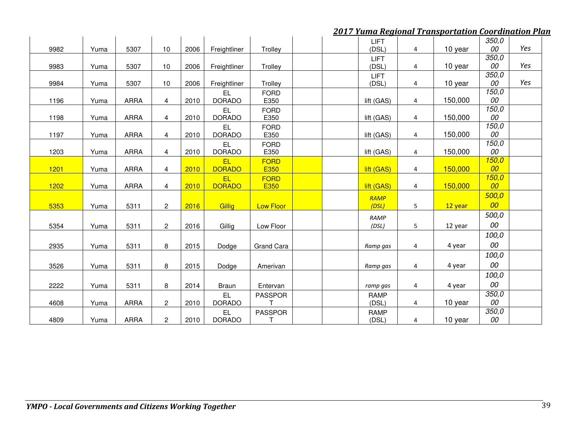|      |      |             |                |      |                      |                     | LIFT          |                |         | 350,0       |     |
|------|------|-------------|----------------|------|----------------------|---------------------|---------------|----------------|---------|-------------|-----|
| 9982 | Yuma | 5307        | 10             | 2006 | Freightliner         | Trolley             | (DSL)         | $\overline{4}$ | 10 year | 00          | Yes |
|      |      |             |                |      |                      |                     | LIFT          |                |         | 350,0       |     |
| 9983 | Yuma | 5307        | 10             | 2006 | Freightliner         | Trolley             | (DSL)         | 4              | 10 year | 00          | Yes |
|      |      |             |                |      |                      |                     | LIFT          |                |         | 350,0       |     |
| 9984 | Yuma | 5307        | 10             | 2006 | Freightliner         | Trolley             | (DSL)         | 4              | 10 year | 00          | Yes |
|      |      |             |                |      | <b>EL</b>            | <b>FORD</b>         |               |                |         | 150,0<br>00 |     |
| 1196 | Yuma | <b>ARRA</b> | $\overline{4}$ | 2010 | <b>DORADO</b>        | E350                | lift (GAS)    | 4              | 150,000 |             |     |
| 1198 |      | <b>ARRA</b> | 4              | 2010 | EL.<br><b>DORADO</b> | <b>FORD</b><br>E350 |               | 4              | 150,000 | 150,0<br>00 |     |
|      | Yuma |             |                |      | <b>EL</b>            |                     | lift (GAS)    |                |         | 150,0       |     |
| 1197 | Yuma | <b>ARRA</b> | 4              | 2010 | <b>DORADO</b>        | <b>FORD</b><br>E350 | lift (GAS)    | 4              | 150,000 | 00          |     |
|      |      |             |                |      | EL.                  | <b>FORD</b>         |               |                |         | 150,0       |     |
| 1203 | Yuma | <b>ARRA</b> | 4              | 2010 | <b>DORADO</b>        | E350                | lift (GAS)    | 4              | 150,000 | 00          |     |
|      |      |             |                |      | EL                   | <b>FORD</b>         |               |                |         | 150,0       |     |
| 1201 | Yuma | <b>ARRA</b> | 4              | 2010 | <b>DORADO</b>        | E350                | lift (GAS)    | 4              | 150,000 | 00          |     |
|      |      |             |                |      | EL                   | <b>FORD</b>         |               |                |         | 150,0       |     |
| 1202 | Yuma | <b>ARRA</b> | 4              | 2010 | <b>DORADO</b>        | E350                | lift (GAS)    | 4              | 150,000 | 00          |     |
|      |      |             |                |      |                      |                     | RAMP          |                |         | 500,0       |     |
| 5353 | Yuma | 5311        | $\overline{c}$ | 2016 | Gillig               | <b>Low Floor</b>    | (DSL)         | 5              | 12 year | 00          |     |
|      |      |             |                |      |                      |                     |               |                |         | 500,0       |     |
| 5354 | Yuma | 5311        | $\mathbf{2}$   | 2016 | Gillig               | Low Floor           | RAMP<br>(DSL) | 5              | 12 year | 00          |     |
|      |      |             |                |      |                      |                     |               |                |         | 100,0       |     |
|      |      |             |                |      |                      |                     |               |                |         | 00          |     |
| 2935 | Yuma | 5311        | 8              | 2015 | Dodge                | Grand Cara          | Ramp gas      | 4              | 4 year  |             |     |
|      |      |             |                |      |                      |                     |               |                |         | 100,0       |     |
| 3526 | Yuma | 5311        | 8              | 2015 | Dodge                | Amerivan            | Ramp gas      | 4              | 4 year  | 00          |     |
|      |      |             |                |      |                      |                     |               |                |         | 100,0       |     |
| 2222 | Yuma | 5311        | 8              | 2014 | <b>Braun</b>         | Entervan            | ramp gas      | 4              | 4 year  | 00          |     |
|      |      |             |                |      | <b>EL</b>            | <b>PASSPOR</b>      | <b>RAMP</b>   |                |         | 350,0       |     |
| 4608 | Yuma | <b>ARRA</b> | $\overline{c}$ | 2010 | <b>DORADO</b>        | т                   | (DSL)         | 4              | 10 year | 00          |     |
|      |      |             |                |      | EL.                  | <b>PASSPOR</b>      | <b>RAMP</b>   |                |         | 350,0       |     |
| 4809 | Yuma | <b>ARRA</b> | $\overline{c}$ | 2010 | <b>DORADO</b>        | T                   | (DSL)         | 4              | 10 year | 00          |     |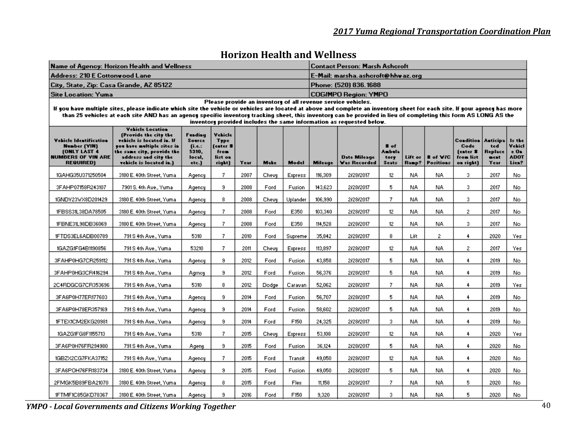### **Horizon Health and Wellness**

|                                                                                                                              | Name of Agency: Horizon Health and Wellness                                                                                                                                                                                                                                                                                                    |                                                         |                                                                 |      |       |          |                | <b>Contact Person: Marsh Ashcroft</b>                                                                                                |                                 |                  |                              |                                                         |                                                   |                                                  |
|------------------------------------------------------------------------------------------------------------------------------|------------------------------------------------------------------------------------------------------------------------------------------------------------------------------------------------------------------------------------------------------------------------------------------------------------------------------------------------|---------------------------------------------------------|-----------------------------------------------------------------|------|-------|----------|----------------|--------------------------------------------------------------------------------------------------------------------------------------|---------------------------------|------------------|------------------------------|---------------------------------------------------------|---------------------------------------------------|--------------------------------------------------|
| <b>Address: 210 E Cottonvood Lane</b>                                                                                        |                                                                                                                                                                                                                                                                                                                                                |                                                         |                                                                 |      |       |          |                | E-Mail: marsha.ashcroft@hhwaz.org                                                                                                    |                                 |                  |                              |                                                         |                                                   |                                                  |
| City, State, Zip: Casa Grande, AZ 85122                                                                                      |                                                                                                                                                                                                                                                                                                                                                |                                                         |                                                                 |      |       |          |                | Phone: (520) 836.1688                                                                                                                |                                 |                  |                              |                                                         |                                                   |                                                  |
| <b>Site Location: Yuma</b>                                                                                                   |                                                                                                                                                                                                                                                                                                                                                |                                                         |                                                                 |      |       |          |                | <b>COG/MPO Region: YMPO</b>                                                                                                          |                                 |                  |                              |                                                         |                                                   |                                                  |
|                                                                                                                              | If you have multiple sites, please indicate which site the vehicle or vehicles are located at above and complete an inventory sheet for each site. If your agency has more<br>than 25 vehicles at each site AND has an agency specific inventory tracking sheet, this inventory can be provided in lieu of completing this form AS LONG AS the |                                                         |                                                                 |      |       |          |                | Please provide an inventory of all revenue service vehicles.<br>inventors provided includes the same information as requested below. |                                 |                  |                              |                                                         |                                                   |                                                  |
| <b>Yehicle Identification</b><br><b>Number (VIN)</b><br><b>JONLY LAST 4</b><br><b>NUMBERS OF VIN ARE</b><br><b>REQUIRED)</b> | <b>Vehicle Location</b><br>(Provide the city the<br>vehicle is located in. If<br>you have multiple sites in<br>the same city, provide the<br>address and city the<br>vehicle is located in.)                                                                                                                                                   | Funding<br>Source<br>(i.e.:<br>5310.<br>local,<br>etc.) | Vehicle<br><b>Type</b><br>(enter 8<br>from<br>list on<br>right) | Year | Make  | Model    | <b>Mileage</b> | <b>Date Mileage</b><br>Was Recorded                                                                                                  | # of<br>Ambula<br>tory<br>Seats | Lift or<br>Ramp? | # of W/C<br><b>Positions</b> | Condition<br>Code<br>fenter #<br>from list<br>on right) | <b>Anticipa</b><br>ted<br>Replace<br>ment<br>Year | Is the<br>Vehicl<br>e On<br><b>ADOT</b><br>Lien? |
| 1GAHG35U371250504                                                                                                            | 3180 E. 40th Street, Yuma                                                                                                                                                                                                                                                                                                                      | Agency                                                  | 7                                                               | 2007 | Chevu | Express  | 116.309        | 2/28/2017                                                                                                                            | 12                              | NA.              | NA.                          | 3.                                                      | 2017                                              | No.                                              |
| 3FAHP07158R243107                                                                                                            | 7901 S. 4th Ave., Yuma                                                                                                                                                                                                                                                                                                                         | Agency                                                  | 9                                                               | 2008 | Ford  | Fusion   | 143,623        | 2/28/2017                                                                                                                            | 5                               | NA.              | NA.                          | 3                                                       | 2017                                              | No                                               |
| 1GNDV23WX8D201429                                                                                                            | 3180 E. 40th Street, Yuma                                                                                                                                                                                                                                                                                                                      | Agency                                                  | 8                                                               | 2008 | Chevy | Uplander | 106,990        | 2/28/2017                                                                                                                            | 7                               | NA.              | NA.                          | 3.                                                      | 2017                                              | No.                                              |
| 1FBSS31L38DA78505                                                                                                            | 3180 E. 40th Street, Yuma                                                                                                                                                                                                                                                                                                                      | Agency                                                  | 7                                                               | 2008 | Ford  | E350     | 103,340        | 2/28/2017                                                                                                                            | 12 <sup>°</sup>                 | NA.              | NA.                          | 2                                                       | 2017                                              | No                                               |
| 1FBNE31L98DB36069                                                                                                            | 3180 E. 40th Street, Yuma                                                                                                                                                                                                                                                                                                                      | Agency                                                  | 7                                                               | 2008 | Ford  | E350     | 114.528        | 2/28/2017                                                                                                                            | 12                              | NA.              | NA.                          | 3                                                       | 2017                                              | No                                               |
| 1FTDS3EL6ADB00789                                                                                                            | 791 S 4th Ave., Yuma                                                                                                                                                                                                                                                                                                                           | 5310                                                    | 7                                                               | 2010 | Ford  | Supreme  | 35,842         | 2/28/2017                                                                                                                            | 8                               | Lift             | 2                            | 4                                                       | 2020                                              | Yes                                              |
| 1GAZG1FG4B1190856                                                                                                            | 791 S 4th Ave., Yuma                                                                                                                                                                                                                                                                                                                           | 53210                                                   | 7                                                               | 2011 | Chevy | Express  | 113,897        | 2/28/2017                                                                                                                            | 12 <sup>°</sup>                 | NA.              | NA.                          | $\overline{c}$                                          | 2017                                              | Yes                                              |
| 3FAHP0HG7CR259112                                                                                                            | 791 S 4th Ave., Yuma                                                                                                                                                                                                                                                                                                                           | Agency                                                  | 9                                                               | 2012 | Ford  | Fusion   | 43,858         | 2/28/2017                                                                                                                            | 5                               | NA.              | NA.                          | 4                                                       | 2019                                              | No.                                              |
| 3FAHP0HG3CR416294                                                                                                            | 791 S 4th Ave., Yuma                                                                                                                                                                                                                                                                                                                           | Agrney                                                  | 9.                                                              | 2012 | Ford  | Fusion   | 56,376         | 2/28/2017                                                                                                                            | 5                               | NA.              | NA.                          | 4                                                       | 2019                                              | No.                                              |
| 2C4RDGCG7CR353696                                                                                                            | 791 S 4th Ave., Yuma                                                                                                                                                                                                                                                                                                                           | 5310                                                    | 8                                                               | 2012 | Dodge | Caravan  | 52.062         | 2/28/2017                                                                                                                            | 7.                              | NA.              | NA.                          | 4                                                       | 2019                                              | Yes.                                             |
| 3FA6P0H77ER177603                                                                                                            | 791 S 4th Ave., Yuma                                                                                                                                                                                                                                                                                                                           | Agency                                                  | 9                                                               | 2014 | Ford  | Fusion   | 56,707         | 2/28/2017                                                                                                                            | 5                               | NA.              | NA.                          | 4                                                       | 2019                                              | No.                                              |
| 3FA6P0H78ER357169                                                                                                            | 791 S 4th Ave., Yuma                                                                                                                                                                                                                                                                                                                           | Agency                                                  | 9                                                               | 2014 | Ford  | Fusion   | 58,602         | 2/28/2017                                                                                                                            | 5                               | NA.              | NA.                          | 4                                                       | 2019                                              | No                                               |
| 1FTEX1CM2EKG20981                                                                                                            | 791 S 4th Ave., Yuma                                                                                                                                                                                                                                                                                                                           | Agency                                                  | 9                                                               | 2014 | Ford  | F150     | 24.325         | 2/28/2017                                                                                                                            | 3                               | NA.              | NA.                          | 4                                                       | 2019                                              | No                                               |
| 1GAZG1FG8F1155713                                                                                                            | 791 S 4th Ave., Yuma                                                                                                                                                                                                                                                                                                                           | 5310                                                    | 7                                                               | 2015 | Chevy | Express  | 53,108         | 2/28/2017                                                                                                                            | 12                              | NA.              | NA.                          | 4                                                       | 2020                                              | Yes                                              |
| 3FA6P0H76FR294980                                                                                                            | 791 S 4th Ave., Yuma                                                                                                                                                                                                                                                                                                                           | Ageny                                                   | 9.                                                              | 2015 | Ford  | Fusion   | 36,124         | 2/28/2017                                                                                                                            | 5.                              | NA.              | NA.                          | 4                                                       | 2020                                              | No                                               |
| 1GBZX2CG7FKA37152                                                                                                            | 791 S 4th Ave., Yuma                                                                                                                                                                                                                                                                                                                           | Agency                                                  | 7                                                               | 2015 | Ford  | Transit  | 49,050         | 2/28/2017                                                                                                                            | 12                              | NA.              | NA.                          | 4                                                       | 2020                                              | No.                                              |
| 3FA6POH76FR183734                                                                                                            | 3180 E. 40th Street, Yuma                                                                                                                                                                                                                                                                                                                      | Agency                                                  | 9                                                               | 2015 | Ford  | Fusion   | 49,050         | 2/28/2017                                                                                                                            | 5                               | NA.              | NA.                          | 4                                                       | 2020                                              | No.                                              |
| 2FMGK5B89FBA21070                                                                                                            | 3180 E. 40th Street, Yuma                                                                                                                                                                                                                                                                                                                      | Agency                                                  | 8                                                               | 2015 | Ford  | Flex     | 11.158         | 2/28/2017                                                                                                                            | 7                               | NA.              | NA.                          | 5.                                                      | 2020                                              | No.                                              |
| 1FTMF1C85GKD78367                                                                                                            | 3180 E. 40th Street, Yuma                                                                                                                                                                                                                                                                                                                      | Agency                                                  | 9                                                               | 2016 | Ford  | F150     | 9,320          | 2/28/2017                                                                                                                            | 3                               | NA.              | NA.                          | 5                                                       | 2020                                              | No.                                              |

*YMPO - Local Governments and Citizens Working Together* 40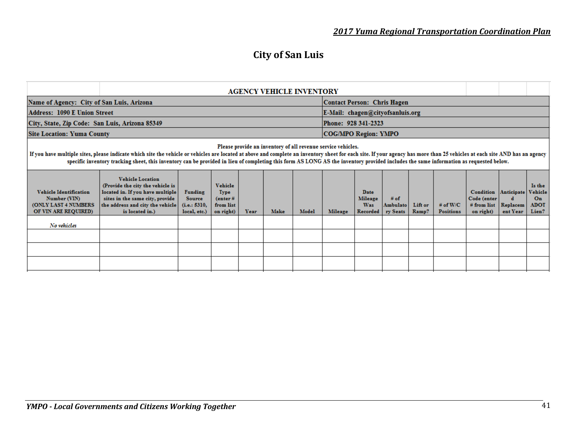# **City of San Luis**

|                                                                         | AGENCY VEHICLE INVENTORY<br>Name of Agency: City of San Luis, Arizona<br>Address: 1090 E Union Street<br>City, State, Zip Code: San Luis, Arizona 85349<br><b>Vehicle Location</b><br><b>Vehicle</b><br>(Provide the city the vehicle is<br>located in. If you have multiple<br><b>Funding</b><br><b>Type</b><br>Number (VIN)<br>sites in the same city, provide<br><b>Source</b><br>$($ enter#<br>the address and city the vehicle<br>(i.e.: 5310,<br>from list<br>Make<br>is located in.)<br>local, etc.)<br>on right)<br>Year<br>No vehicles |  |                                  |  |  |       |                      |                                                         |                              | <b>Contact Person: Chris Hagen</b> |                                |                                                                        |                      |                                                        |
|-------------------------------------------------------------------------|-------------------------------------------------------------------------------------------------------------------------------------------------------------------------------------------------------------------------------------------------------------------------------------------------------------------------------------------------------------------------------------------------------------------------------------------------------------------------------------------------------------------------------------------------|--|----------------------------------|--|--|-------|----------------------|---------------------------------------------------------|------------------------------|------------------------------------|--------------------------------|------------------------------------------------------------------------|----------------------|--------------------------------------------------------|
|                                                                         |                                                                                                                                                                                                                                                                                                                                                                                                                                                                                                                                                 |  | E-Mail: chagen@cityofsanluis.org |  |  |       |                      |                                                         |                              |                                    |                                |                                                                        |                      |                                                        |
|                                                                         |                                                                                                                                                                                                                                                                                                                                                                                                                                                                                                                                                 |  |                                  |  |  |       | Phone: 928 341-2323  |                                                         |                              |                                    |                                |                                                                        |                      |                                                        |
| <b>Site Location: Yuma County</b>                                       |                                                                                                                                                                                                                                                                                                                                                                                                                                                                                                                                                 |  |                                  |  |  |       | COG/MPO Region: YMPO |                                                         |                              |                                    |                                |                                                                        |                      |                                                        |
|                                                                         | Please provide an inventory of all revenue service vehicles.<br>If you have multiple sites, please indicate which site the vehicle or vehicles are located at above and complete an inventory sheet for each site. If your agency has more than 25 vehicles at each site AND has an agency<br>specific inventory tracking sheet, this inventory can be provided in lieu of completing this form AS LONG AS the inventory provided includes the same information as requested below.                                                             |  |                                  |  |  |       |                      |                                                         |                              |                                    |                                |                                                                        |                      |                                                        |
| Vehicle Identification<br>(ONLY LAST 4 NUMBERS)<br>OF VIN ARE REQUIRED) |                                                                                                                                                                                                                                                                                                                                                                                                                                                                                                                                                 |  |                                  |  |  | Model | Mileage              | Date<br><b>Mileage</b><br><b>Was</b><br><b>Recorded</b> | # of<br>Ambulato<br>ry Seats | Lift or<br>Ramp?                   | $#$ of W/C<br><b>Positions</b> | <b>Condition</b> Anticipate<br>Code (enter<br># from list<br>on right) | Replacem<br>ent Year | Is the<br><b>Vehicle</b><br>On<br><b>ADOT</b><br>Lien? |
|                                                                         |                                                                                                                                                                                                                                                                                                                                                                                                                                                                                                                                                 |  |                                  |  |  |       |                      |                                                         |                              |                                    |                                |                                                                        |                      |                                                        |
|                                                                         |                                                                                                                                                                                                                                                                                                                                                                                                                                                                                                                                                 |  |                                  |  |  |       |                      |                                                         |                              |                                    |                                |                                                                        |                      |                                                        |
|                                                                         |                                                                                                                                                                                                                                                                                                                                                                                                                                                                                                                                                 |  |                                  |  |  |       |                      |                                                         |                              |                                    |                                |                                                                        |                      |                                                        |
|                                                                         |                                                                                                                                                                                                                                                                                                                                                                                                                                                                                                                                                 |  |                                  |  |  |       |                      |                                                         |                              |                                    |                                |                                                                        |                      |                                                        |